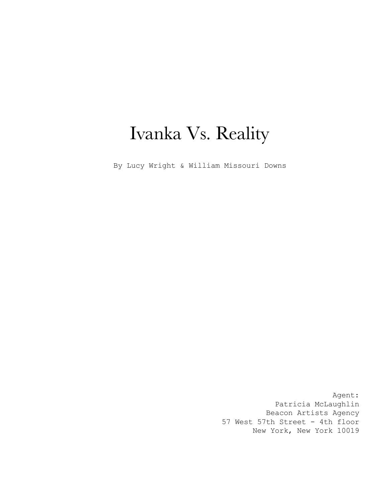# Ivanka Vs. Reality

By Lucy Wright & William Missouri Downs

Agent: Patricia McLaughlin Beacon Artists Agency 57 West 57th Street - 4th floor New York, New York 10019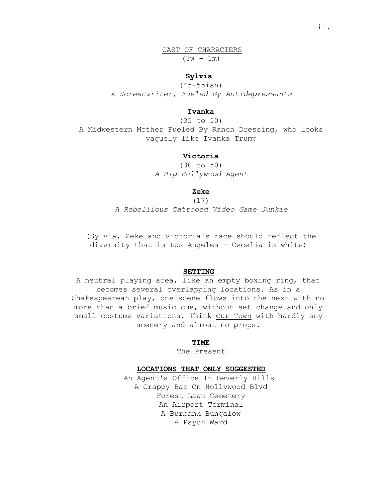CAST OF CHARACTERS  $(3w - 1m)$ 

### **Sylvia**

(45-55ish) *A Screenwriter, Fueled By Antidepressants*

# **Ivanka**

(35 to 50) A Midwestern Mother Fueled By Ranch Dressing, who looks vaguely like Ivanka Trump

# **Victoria**

(30 to 50) *A Hip Hollywood Agent*

# **Zeke**

(17) *A Rebellious Tattooed Video Game Junkie*

(Sylvia, Zeke and Victoria's race should reflect the diversity that is Los Angeles - Cecelia is white)

# **SETTING**

A neutral playing area, like an empty boxing ring, that becomes several overlapping locations. As in a Shakespearean play, one scene flows into the next with no more than a brief music cue, without set change and only small costume variations. Think Our Town with hardly any scenery and almost no props.

### **TIME**

The Present

### **LOCATIONS THAT ONLY SUGGESTED**

An Agent's Office In Beverly Hills A Crappy Bar On Hollywood Blvd Forest Lawn Cemetery An Airport Terminal A Burbank Bungalow A Psych Ward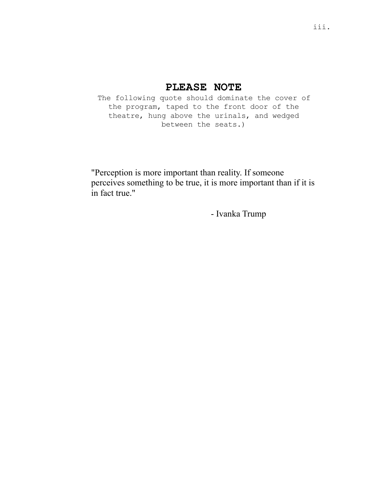# **PLEASE NOTE**

The following quote should dominate the cover of the program, taped to the front door of the theatre, hung above the urinals, and wedged between the seats.)

"Perception is more important than reality. If someone perceives something to be true, it is more important than if it is in fact true."

- Ivanka Trump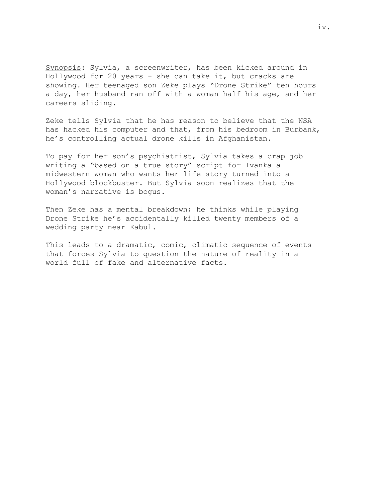Synopsis: Sylvia, a screenwriter, has been kicked around in Hollywood for 20 years - she can take it, but cracks are showing. Her teenaged son Zeke plays "Drone Strike" ten hours a day, her husband ran off with a woman half his age, and her careers sliding.

Zeke tells Sylvia that he has reason to believe that the NSA has hacked his computer and that, from his bedroom in Burbank, he's controlling actual drone kills in Afghanistan.

To pay for her son's psychiatrist, Sylvia takes a crap job writing a "based on a true story" script for Ivanka a midwestern woman who wants her life story turned into a Hollywood blockbuster. But Sylvia soon realizes that the woman's narrative is bogus.

Then Zeke has a mental breakdown; he thinks while playing Drone Strike he's accidentally killed twenty members of a wedding party near Kabul.

This leads to a dramatic, comic, climatic sequence of events that forces Sylvia to question the nature of reality in a world full of fake and alternative facts.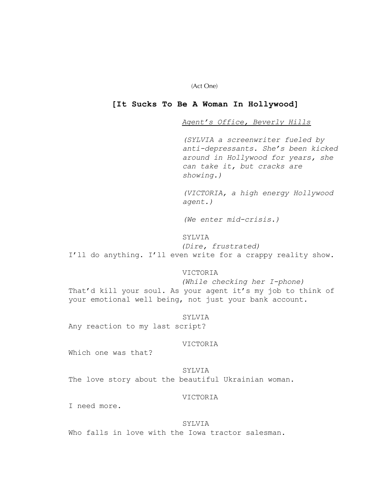(Act One)

# **[It Sucks To Be A Woman In Hollywood]**

*Agent's Office, Beverly Hills*

*(SYLVIA a screenwriter fueled by anti-depressants. She's been kicked around in Hollywood for years, she can take it, but cracks are showing.)*

*(VICTORIA, a high energy Hollywood agent.)*

*(We enter mid-crisis.)*

# SYLVIA

*(Dire, frustrated)* I'll do anything. I'll even write for a crappy reality show.

# VICTORIA

*(While checking her I-phone)* That'd kill your soul. As your agent it's my job to think of your emotional well being, not just your bank account.

SYLVIA Any reaction to my last script?

### VICTORIA

Which one was that?

SYLVIA The love story about the beautiful Ukrainian woman.

### VICTORIA

I need more.

### SYLVIA

Who falls in love with the Iowa tractor salesman.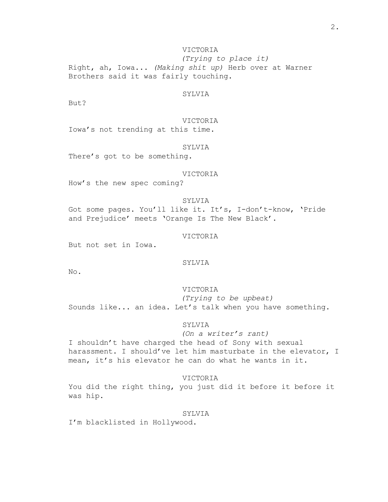VICTORIA

*(Trying to place it)* Right, ah, Iowa... *(Making shit up)* Herb over at Warner Brothers said it was fairly touching.

### SYLVIA

 $B11 + 2$ 

VICTORIA Iowa's not trending at this time.

# SYLVIA

There's got to be something.

### VICTORIA

How's the new spec coming?

### SYLVIA

Got some pages. You'll like it. It's, I-don't-know, 'Pride and Prejudice' meets 'Orange Is The New Black'.

### VICTORIA

But not set in Iowa.

### SYLVIA

No.

### VICTORIA

*(Trying to be upbeat)* Sounds like... an idea. Let's talk when you have something.

### SYLVIA

### *(On a writer's rant)*

I shouldn't have charged the head of Sony with sexual harassment. I should've let him masturbate in the elevator, I mean, it's his elevator he can do what he wants in it.

# VICTORIA

You did the right thing, you just did it before it before it was hip.

### SYLVIA

I'm blacklisted in Hollywood.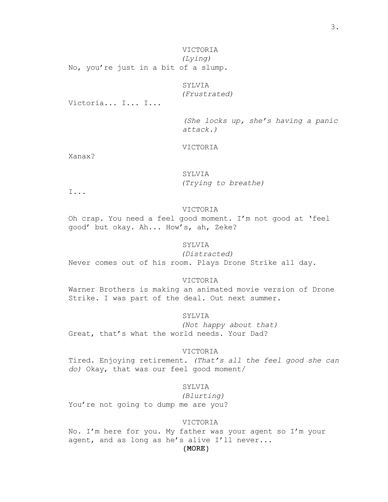VICTORIA *(Lying)* No, you're just in a bit of a slump.

# SYLVIA

*(Frustrated)*

Victoria... I... I...

*(She locks up, she's having a panic attack.)*

### VICTORIA

Xanax?

# SYLVIA *(Trying to breathe)*

I...

### VICTORIA

Oh crap. You need a feel good moment. I'm not good at 'feel good' but okay. Ah... How's, ah, Zeke?

# SYLVIA

*(Distracted)* Never comes out of his room. Plays Drone Strike all day.

### VICTORIA

Warner Brothers is making an animated movie version of Drone Strike. I was part of the deal. Out next summer.

SYLVIA

*(Not happy about that)* Great, that's what the world needs. Your Dad?

### VICTORIA

Tired. Enjoying retirement. *(That's all the feel good she can do)* Okay, that was our feel good moment/

# SYLVIA

*(Blurting)*

You're not going to dump me are you?

# VICTORIA

No. I'm here for you. My father was your agent so I'm your agent, and as long as he's alive I'll never...

# (MORE)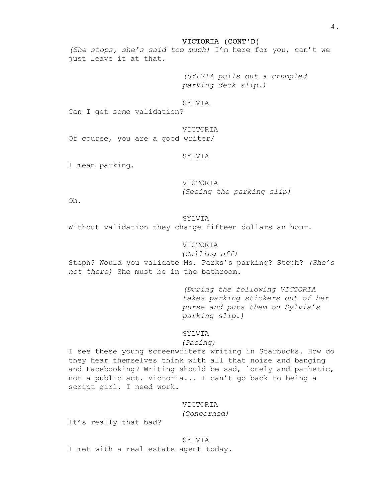### VICTORIA (CONT'D)

*(She stops, she's said too much)* I'm here for you, can't we just leave it at that.

> *(SYLVIA pulls out a crumpled parking deck slip.)*

### SYLVIA

Can I get some validation?

### VICTORIA

Of course, you are a good writer/

# SYLVIA

I mean parking.

### VICTORIA

*(Seeing the parking slip)*

Oh.

### SYLVIA

Without validation they charge fifteen dollars an hour.

# VICTORIA

*(Calling off)* Steph? Would you validate Ms. Parks's parking? Steph? *(She's not there)* She must be in the bathroom.

> *(During the following VICTORIA takes parking stickers out of her purse and puts them on Sylvia's parking slip.)*

### SYLVIA

# *(Pacing)*

I see these young screenwriters writing in Starbucks. How do they hear themselves think with all that noise and banging and Facebooking? Writing should be sad, lonely and pathetic, not a public act. Victoria... I can't go back to being a script girl. I need work.

# VICTORIA

*(Concerned)*

It's really that bad?

# SYLVIA

I met with a real estate agent today.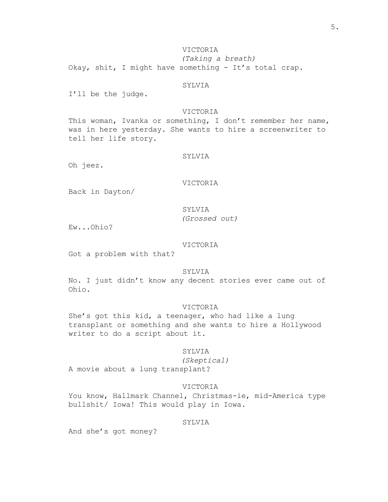# VICTORIA

*(Taking a breath)* Okay, shit, I might have something - It's total crap.

### SYLVIA

I'll be the judge.

# VICTORIA

This woman, Ivanka or something, I don't remember her name, was in here yesterday. She wants to hire a screenwriter to tell her life story.

### SYLVIA

Oh jeez.

# VICTORIA

Back in Dayton/

### SYLVIA

*(Grossed out)*

Ew...Ohio?

# VICTORIA

Got a problem with that?

# SYLVIA

No. I just didn't know any decent stories ever came out of Ohio.

# VICTORIA

She's got this kid, a teenager, who had like a lung transplant or something and she wants to hire a Hollywood writer to do a script about it.

### SYLVIA

*(Skeptical)* A movie about a lung transplant?

### VICTORIA

You know, Hallmark Channel, Christmas-ie, mid-America type bullshit/ Iowa! This would play in Iowa.

### SYLVIA

And she's got money?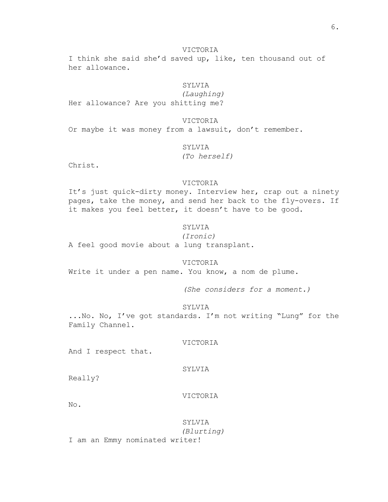### VICTORIA

I think she said she'd saved up, like, ten thousand out of her allowance.

# SYLVIA

*(Laughing)* Her allowance? Are you shitting me?

### VICTORIA

Or maybe it was money from a lawsuit, don't remember.

# SYLVIA

# *(To herself)*

Christ.

### VICTORIA

It's just quick-dirty money. Interview her, crap out a ninety pages, take the money, and send her back to the fly-overs. If it makes you feel better, it doesn't have to be good.

### SYLVIA

### *(Ironic)*

A feel good movie about a lung transplant.

### VICTORIA

Write it under a pen name. You know, a nom de plume.

*(She considers for a moment.)*

### SYLVIA

...No. No, I've got standards. I'm not writing "Lung" for the Family Channel.

### VICTORIA

And I respect that.

### SYLVIA

Really?

### VICTORIA

No.

SYLVIA *(Blurting)* I am an Emmy nominated writer!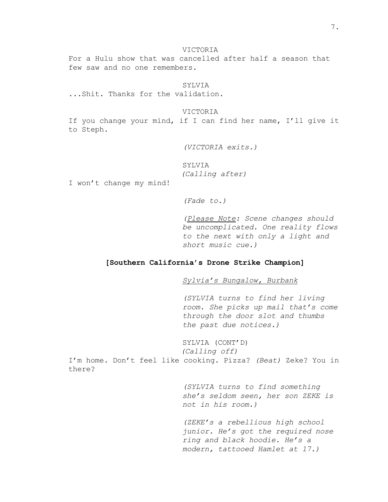VICTORIA For a Hulu show that was cancelled after half a season that few saw and no one remembers.

**SYLVIA** ...Shit. Thanks for the validation.

VICTORIA

If you change your mind, if I can find her name, I'll give it to Steph.

*(VICTORIA exits.)*

SYLVIA *(Calling after)*

I won't change my mind!

*(Fade to.)*

*(Please Note: Scene changes should be uncomplicated. One reality flows to the next with only a light and short music cue.)*

# **[Southern California's Drone Strike Champion]**

*Sylvia's Bungalow, Burbank*

*(SYLVIA turns to find her living room. She picks up mail that's come through the door slot and thumbs the past due notices.)*

SYLVIA (CONT'D) *(Calling off)* I'm home. Don't feel like cooking. Pizza? *(Beat)* Zeke? You in there?

> *(SYLVIA turns to find something she's seldom seen, her son ZEKE is not in his room.)*

> *(ZEKE's a rebellious high school junior. He's got the required nose ring and black hoodie. He's a modern, tattooed Hamlet at 17.)*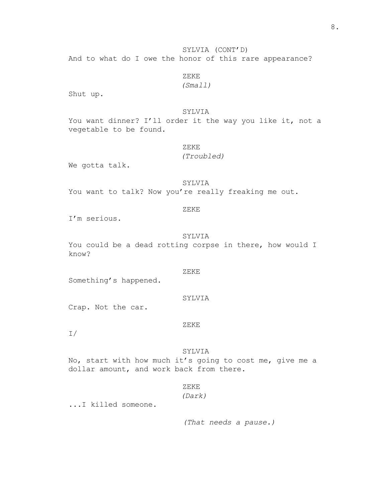# SYLVIA (CONT'D)

And to what do I owe the honor of this rare appearance?

# ZEKE

# *(Small)*

Shut up.

# SYLVIA

You want dinner? I'll order it the way you like it, not a vegetable to be found.

# ZEKE

### *(Troubled)*

We gotta talk.

### SYLVIA

You want to talk? Now you're really freaking me out.

### ZEKE

I'm serious.

### SYLVIA

You could be a dead rotting corpse in there, how would I know?

# ZEKE

Something's happened.

#### SYLVIA

Crap. Not the car.

### ZEKE

I/

### SYLVIA

No, start with how much it's going to cost me, give me a dollar amount, and work back from there.

# ZEKE

*(Dark)*

...I killed someone.

*(That needs a pause.)*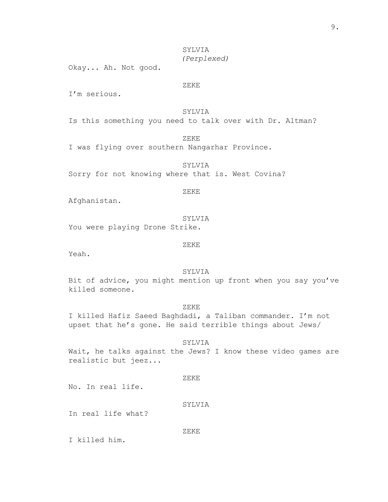# SYLVIA *(Perplexed)*

Okay... Ah. Not good.

# ZEKE

I'm serious.

# SYLVIA

Is this something you need to talk over with Dr. Altman?

ZEKE

I was flying over southern Nangarhar Province.

SYLVIA

Sorry for not knowing where that is. West Covina?

### ZEKE

Afghanistan.

SYLVIA

You were playing Drone Strike.

ZEKE

Yeah.

# SYLVIA

Bit of advice, you might mention up front when you say you've killed someone.

# ZEKE

I killed Hafiz Saeed Baghdadi, a Taliban commander. I'm not upset that he's gone. He said terrible things about Jews/

### SYLVIA

Wait, he talks against the Jews? I know these video games are realistic but jeez...

### ZEKE

No. In real life.

### SYLVIA

In real life what?

### ZEKE

I killed him.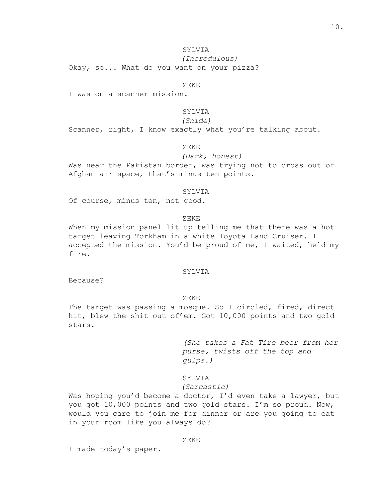# SYLVIA

*(Incredulous)*

Okay, so... What do you want on your pizza?

### ZEKE

I was on a scanner mission.

# SYLVIA

# *(Snide)*

Scanner, right, I know exactly what you're talking about.

ZEKE

### *(Dark, honest)*

Was near the Pakistan border, was trying not to cross out of Afghan air space, that's minus ten points.

### SYLVIA

Of course, minus ten, not good.

### ZEKE

When my mission panel lit up telling me that there was a hot target leaving Torkham in a white Toyota Land Cruiser. I accepted the mission. You'd be proud of me, I waited, held my fire.

# SYLVIA

Because?

### ZEKE

The target was passing a mosque. So I circled, fired, direct hit, blew the shit out of'em. Got 10,000 points and two gold stars.

> *(She takes a Fat Tire beer from her purse, twists off the top and gulps.)*

### SYLVIA

### *(Sarcastic)*

Was hoping you'd become a doctor, I'd even take a lawyer, but you got 10,000 points and two gold stars. I'm so proud. Now, would you care to join me for dinner or are you going to eat in your room like you always do?

### ZEKE

I made today's paper.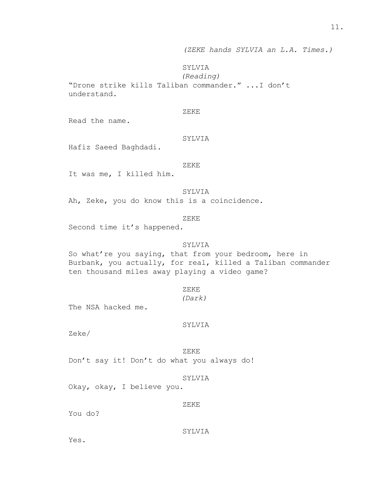# SYLVIA

*(Reading)*

"Drone strike kills Taliban commander." ...I don't understand.

# ZEKE

Read the name.

### SYLVIA

Hafiz Saeed Baghdadi.

### ZEKE

It was me, I killed him.

# SYLVIA

Ah, Zeke, you do know this is a coincidence.

### ZEKE

Second time it's happened.

# SYLVIA

So what're you saying, that from your bedroom, here in Burbank, you actually, for real, killed a Taliban commander ten thousand miles away playing a video game?

### ZEKE

### *(Dark)*

The NSA hacked me.

### SYLVIA

Zeke/

#### ZEKE

Don't say it! Don't do what you always do!

### SYLVIA

Okay, okay, I believe you.

### ZEKE

You do?

### SYLVIA

Yes.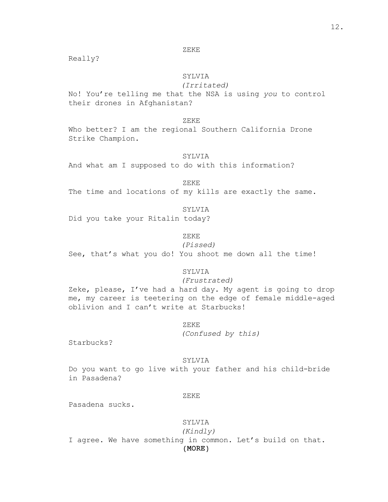### ZEKE

Really?

# SYLVIA

# *(Irritated)*

No! You're telling me that the NSA is using *you* to control their drones in Afghanistan?

### ZEKE

Who better? I am the regional Southern California Drone Strike Champion.

### SYLVIA

And what am I supposed to do with this information?

### ZEKE

The time and locations of my kills are exactly the same.

# SYLVIA

Did you take your Ritalin today?

# ZEKE

*(Pissed)*

See, that's what you do! You shoot me down all the time!

### SYLVIA

### *(Frustrated)*

Zeke, please, I've had a hard day. My agent is going to drop me, my career is teetering on the edge of female middle-aged oblivion and I can't write at Starbucks!

### ZEKE

*(Confused by this)*

Starbucks?

### SYLVIA

Do you want to go live with your father and his child-bride in Pasadena?

### ZEKE

Pasadena sucks.

# SYLVIA

(MORE) *(Kindly)* I agree. We have something in common. Let's build on that.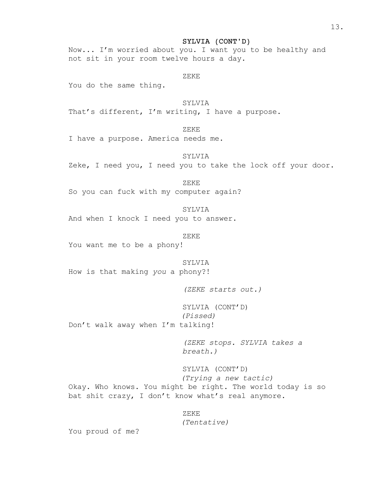SYLVIA (CONT'D)

Now... I'm worried about you. I want you to be healthy and not sit in your room twelve hours a day.

ZEKE

You do the same thing.

SYLVIA

That's different, I'm writing, I have a purpose.

ZEKE

I have a purpose. America needs me.

SYLVIA

Zeke, I need you, I need you to take the lock off your door.

ZEKE

So you can fuck with my computer again?

SYLVIA

And when I knock I need you to answer.

ZEKE

You want me to be a phony!

SYLVIA How is that making *you* a phony?!

*(ZEKE starts out.)*

SYLVIA (CONT'D) *(Pissed)* Don't walk away when I'm talking!

> *(ZEKE stops. SYLVIA takes a breath.)*

SYLVIA (CONT'D) *(Trying a new tactic)* Okay. Who knows. You might be right. The world today is so bat shit crazy, I don't know what's real anymore.

ZEKE

*(Tentative)*

You proud of me?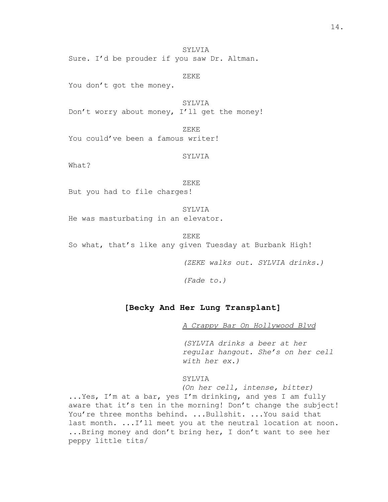SYLVIA Sure. I'd be prouder if you saw Dr. Altman.

ZEKE

You don't got the money.

SYLVIA Don't worry about money, I'll get the money!

ZEKE You could've been a famous writer!

SYLVIA

What?

### ZEKE

But you had to file charges!

SYLVIA He was masturbating in an elevator.

ZEKE

So what, that's like any given Tuesday at Burbank High!

*(ZEKE walks out. SYLVIA drinks.)*

*(Fade to.)*

### **[Becky And Her Lung Transplant]**

*A Crappy Bar On Hollywood Blvd*

*(SYLVIA drinks a beer at her regular hangout. She's on her cell with her ex.)*

SYLVIA

*(On her cell, intense, bitter)*

...Yes, I'm at a bar, yes I'm drinking, and yes I am fully aware that it's ten in the morning! Don't change the subject! You're three months behind. ...Bullshit. ... You said that last month. ...I'll meet you at the neutral location at noon. ...Bring money and don't bring her, I don't want to see her peppy little tits/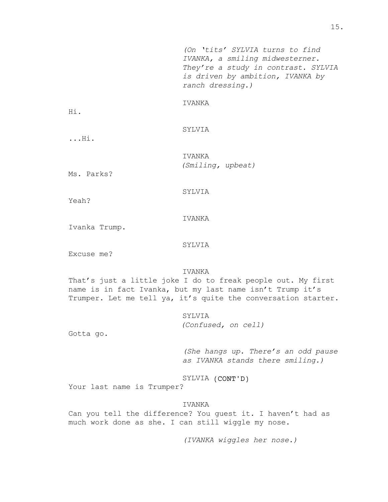*(On 'tits' SYLVIA turns to find IVANKA, a smiling midwesterner. They're a study in contrast. SYLVIA is driven by ambition, IVANKA by ranch dressing.)*

### IVANKA

Hi.

# SYLVIA

...Hi.

IVANKA *(Smiling, upbeat)*

Ms. Parks?

### SYLVIA

Yeah?

### IVANKA

Ivanka Trump.

### SYLVIA

Excuse me?

# IVANKA

That's just a little joke I do to freak people out. My first name is in fact Ivanka, but my last name isn't Trump it's Trumper. Let me tell ya, it's quite the conversation starter.

### SYLVIA

*(Confused, on cell)*

Gotta go.

*(She hangs up. There's an odd pause as IVANKA stands there smiling.)*

SYLVIA (CONT'D)

Your last name is Trumper?

# IVANKA

Can you tell the difference? You guest it. I haven't had as much work done as she. I can still wiggle my nose.

*(IVANKA wiggles her nose.)*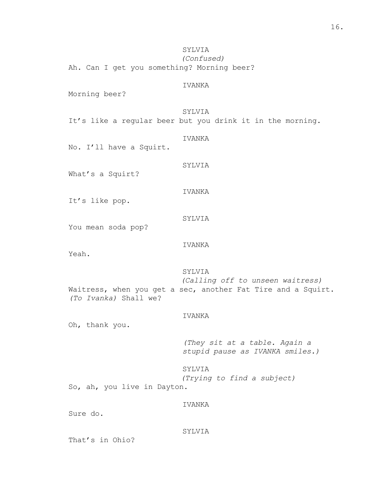SYLVIA

*(Confused)* Ah. Can I get you something? Morning beer?

### IVANKA

Morning beer?

# SYLVIA

It's like a regular beer but you drink it in the morning.

### IVANKA

No. I'll have a Squirt.

# SYLVIA

What's a Squirt?

# IVANKA

SYLVIA

It's like pop.

You mean soda pop?

# IVANKA

Yeah.

# SYLVIA

*(Calling off to unseen waitress)* Waitress, when you get a sec, another Fat Tire and a Squirt. *(To Ivanka)* Shall we?

### IVANKA

Oh, thank you.

*(They sit at a table. Again a stupid pause as IVANKA smiles.)*

### SYLVIA

*(Trying to find a subject)*

So, ah, you live in Dayton.

# IVANKA

Sure do.

### SYLVIA

That's in Ohio?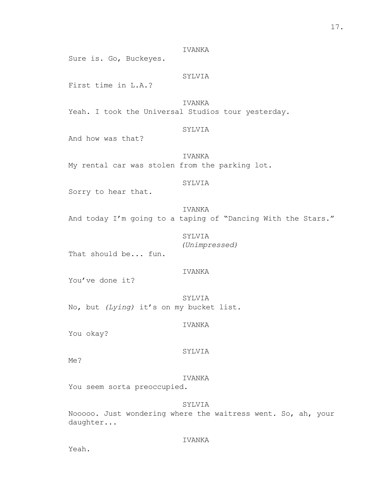Sure is. Go, Buckeyes.

# SYLVIA

First time in L.A.?

IVANKA Yeah. I took the Universal Studios tour yesterday.

# SYLVIA

And how was that?

IVANKA My rental car was stolen from the parking lot.

### SYLVIA

Sorry to hear that.

IVANKA

And today I'm going to a taping of "Dancing With the Stars."

SYLVIA *(Unimpressed)*

That should be... fun.

# IVANKA

You've done it?

SYLVIA No, but *(Lying)* it's on my bucket list.

IVANKA

You okay?

# SYLVIA

Me?

### IVANKA

You seem sorta preoccupied.

# SYLVIA

Nooooo. Just wondering where the waitress went. So, ah, your daughter...

### IVANKA

Yeah.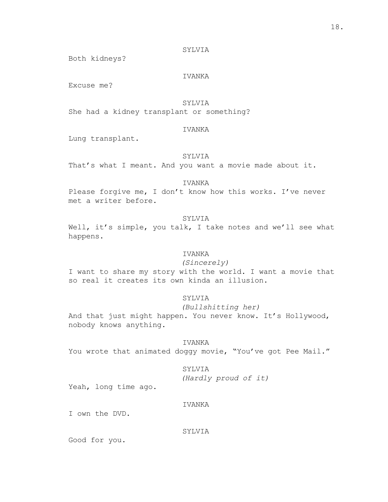### SYLVIA

Both kidneys?

# IVANKA

Excuse me?

# SYLVIA

She had a kidney transplant or something?

# IVANKA

Lung transplant.

# SYLVIA

That's what I meant. And you want a movie made about it.

### IVANKA

Please forgive me, I don't know how this works. I've never met a writer before.

# SYLVIA

Well, it's simple, you talk, I take notes and we'll see what happens.

# IVANKA

### *(Sincerely)*

I want to share my story with the world. I want a movie that so real it creates its own kinda an illusion.

### SYLVIA

# *(Bullshitting her)*

And that just might happen. You never know. It's Hollywood, nobody knows anything.

# IVANKA

You wrote that animated doggy movie, "You've got Pee Mail."

### SYLVIA

*(Hardly proud of it)*

Yeah, long time ago.

# IVANKA

I own the DVD.

#### SYLVIA

Good for you.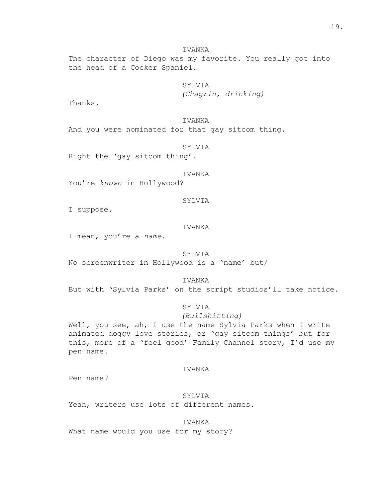The character of Diego was my favorite. You really got into the head of a Cocker Spaniel.

> SYLVIA *(Chagrin, drinking)*

Thanks.

IVANKA

And you were nominated for that gay sitcom thing.

SYLVIA

Right the 'gay sitcom thing'.

IVANKA

You're *known* in Hollywood?

SYLVIA

I suppose.

IVANKA

I mean, you're a *name*.

SYLVIA

No screenwriter in Hollywood is a 'name' but/

IVANKA

But with 'Sylvia Parks' on the script studios'll take notice.

# SYLVIA

### *(Bullshitting)*

Well, you see, ah, I use the name Sylvia Parks when I write animated doggy love stories, or 'gay sitcom things' but for this, more of a 'feel good' Family Channel story, I'd use my pen name.

### IVANKA

Pen name?

SYLVIA Yeah, writers use lots of different names.

# IVANKA

What name would you use for my story?

IVANKA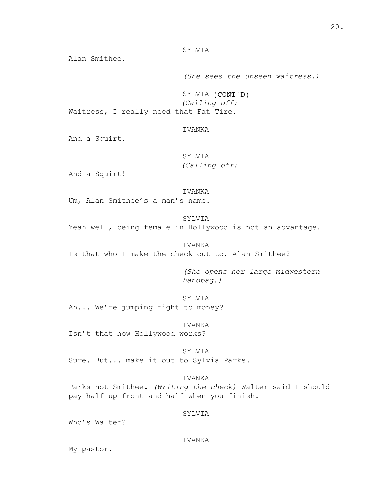# SYLVIA

Alan Smithee.

*(She sees the unseen waitress.)*

SYLVIA (CONT'D) *(Calling off)*

Waitress, I really need that Fat Tire.

# IVANKA

And a Squirt.

SYLVIA *(Calling off)*

And a Squirt!

### IVANKA

Um, Alan Smithee's a man's name.

# SYLVIA

Yeah well, being female in Hollywood is not an advantage.

### IVANKA

Is that who I make the check out to, Alan Smithee?

*(She opens her large midwestern handbag.)*

SYLVIA

Ah... We're jumping right to money?

IVANKA

Isn't that how Hollywood works?

SYLVIA

Sure. But... make it out to Sylvia Parks.

IVANKA

Parks not Smithee. *(Writing the check)* Walter said I should pay half up front and half when you finish.

### SYLVIA

Who's Walter?

### IVANKA

My pastor.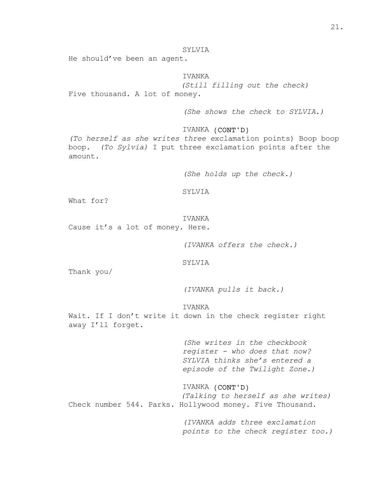# SYLVIA

He should've been an agent.

IVANKA

*(Still filling out the check)* Five thousand. A lot of money.

*(She shows the check to SYLVIA.)*

IVANKA (CONT'D)

*(To herself as she writes three e*xclamation points) Boop boop boop. *(To Sylvia)* I put three exclamation points after the amount.

*(She holds up the check.)*

SYLVIA

What for?

IVANKA

Cause it's a lot of money. Here.

*(IVANKA offers the check.)*

SYLVIA

Thank you/

*(IVANKA pulls it back.)*

IVANKA

Wait. If I don't write it down in the check register right away I'll forget.

> *(She writes in the checkbook register - who does that now? SYLVIA thinks she's entered a episode of the Twilight Zone.)*

IVANKA (CONT'D) *(Talking to herself as she writes)* Check number 544. Parks. Hollywood money. Five Thousand.

> *(IVANKA adds three exclamation points to the check register too.)*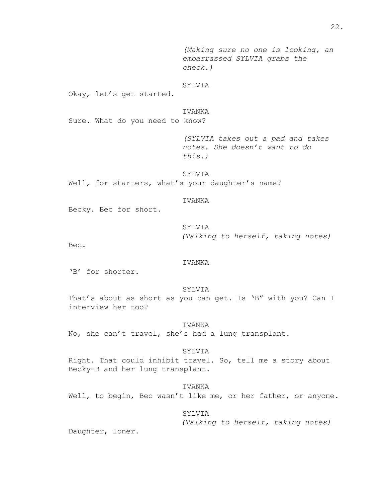*(Making sure no one is looking, an embarrassed SYLVIA grabs the check.)*

### SYLVIA

Okay, let's get started.

# IVANKA

Sure. What do you need to know?

*(SYLVIA takes out a pad and takes notes. She doesn't want to do this.)*

SYLVIA Well, for starters, what's your daughter's name?

### IVANKA

Becky. Bec for short.

SYLVIA *(Talking to herself, taking notes)*

Bec.

### IVANKA

'B' for shorter.

### SYLVIA

That's about as short as you can get. Is 'B" with you? Can I interview her too?

### IVANKA

No, she can't travel, she's had a lung transplant.

### SYLVIA

Right. That could inhibit travel. So, tell me a story about Becky-B and her lung transplant.

# IVANKA

Well, to begin, Bec wasn't like me, or her father, or anyone.

### SYLVIA

*(Talking to herself, taking notes)*

Daughter, loner.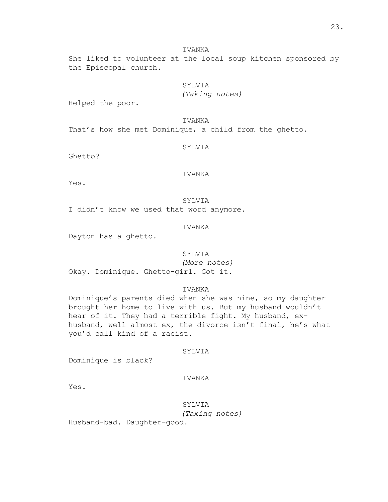She liked to volunteer at the local soup kitchen sponsored by the Episcopal church.

# SYLVIA

*(Taking notes)*

Helped the poor.

### IVANKA

That's how she met Dominique, a child from the ghetto.

# SYLVIA

Ghetto?

# IVANKA

Yes.

SYLVIA I didn't know we used that word anymore.

### IVANKA

Dayton has a ghetto.

### SYLVIA

*(More notes)* Okay. Dominique. Ghetto-girl. Got it.

# IVANKA

Dominique's parents died when she was nine, so my daughter brought her home to live with us. But my husband wouldn't hear of it. They had a terrible fight. My husband, exhusband, well almost ex, the divorce isn't final, he's what you'd call kind of a racist.

### SYLVIA

Dominique is black?

### IVANKA

Yes.

SYLVIA *(Taking notes)*

Husband-bad. Daughter-good.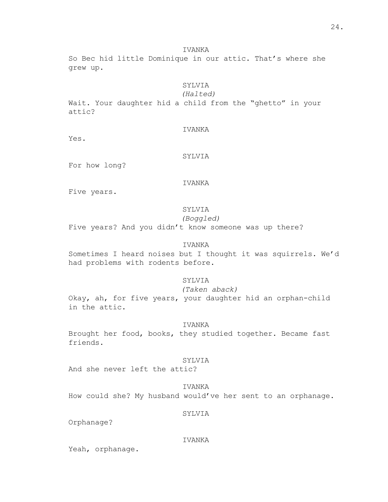So Bec hid little Dominique in our attic. That's where she grew up.

# SYLVIA

*(Halted)*

Wait. Your daughter hid a child from the "ghetto" in your attic?

# IVANKA

Yes.

# SYLVIA

For how long?

# IVANKA

Five years.

# SYLVIA

*(Boggled)*

Five years? And you didn't know someone was up there?

# IVANKA

Sometimes I heard noises but I thought it was squirrels. We'd had problems with rodents before.

# SYLVIA

*(Taken aback)*

Okay, ah, for five years, your daughter hid an orphan-child in the attic.

### IVANKA

Brought her food, books, they studied together. Became fast friends.

### SYLVIA

And she never left the attic?

IVANKA How could she? My husband would've her sent to an orphanage.

# SYLVIA

Orphanage?

### IVANKA

Yeah, orphanage.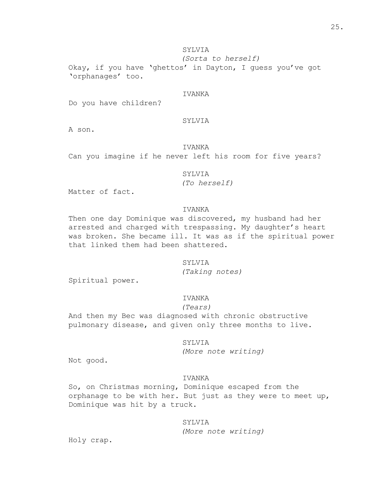# SYLVIA

*(Sorta to herself)*

Okay, if you have 'ghettos' in Dayton, I guess you've got 'orphanages' too.

# IVANKA

Do you have children?

# SYLVIA

A son.

### IVANKA

Can you imagine if he never left his room for five years?

# SYLVIA

*(To herself)*

Matter of fact.

### IVANKA

Then one day Dominique was discovered, my husband had her arrested and charged with trespassing. My daughter's heart was broken. She became ill. It was as if the spiritual power that linked them had been shattered.

### SYLVIA

*(Taking notes)*

Spiritual power.

# IVANKA

### *(Tears)*

And then my Bec was diagnosed with chronic obstructive pulmonary disease, and given only three months to live.

SYLVIA

*(More note writing)*

Not good.

# IVANKA

So, on Christmas morning, Dominique escaped from the orphanage to be with her. But just as they were to meet up, Dominique was hit by a truck.

# SYLVIA

*(More note writing)*

Holy crap.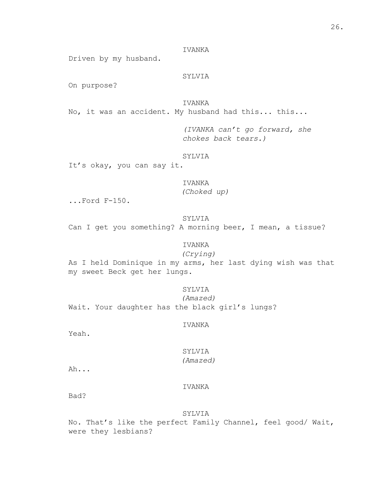Driven by my husband.

# SYLVIA

On purpose?

IVANKA

No, it was an accident. My husband had this... this...

*(IVANKA can't go forward, she chokes back tears.)*

### SYLVIA

It's okay, you can say it.

### IVANKA

*(Choked up)*

...Ford F-150.

# SYLVIA

Can I get you something? A morning beer, I mean, a tissue?

# IVANKA

*(Crying)*

As I held Dominique in my arms, her last dying wish was that my sweet Beck get her lungs.

### SYLVIA

*(Amazed)*

Wait. Your daughter has the black girl's lungs?

### IVANKA

Yeah.

# SYLVIA *(Amazed)*

Ah...

# IVANKA

Bad?

#### SYLVIA

No. That's like the perfect Family Channel, feel good/ Wait, were they lesbians?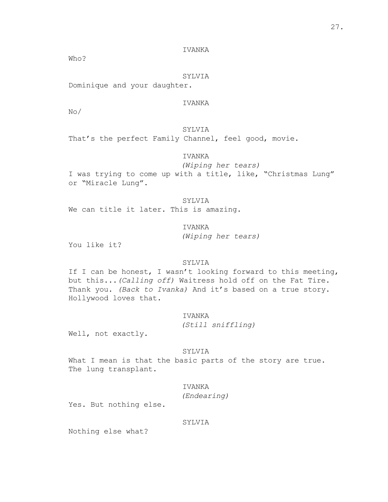Who?

# SYLVIA

Dominique and your daughter.

# IVANKA

No/

# SYLVIA

That's the perfect Family Channel, feel good, movie.

# IVANKA

*(Wiping her tears)*

I was trying to come up with a title, like, "Christmas Lung" or "Miracle Lung".

# SYLVIA

We can title it later. This is amazing.

IVANKA

*(Wiping her tears)*

You like it?

# SYLVIA

If I can be honest, I wasn't looking forward to this meeting, but this...*(Calling off)* Waitress hold off on the Fat Tire. Thank you. *(Back to Ivanka)* And it's based on a true story. Hollywood loves that.

### IVANKA

*(Still sniffling)*

Well, not exactly.

### SYLVIA

What I mean is that the basic parts of the story are true. The lung transplant.

# IVANKA

*(Endearing)*

Yes. But nothing else.

### SYLVIA

Nothing else what?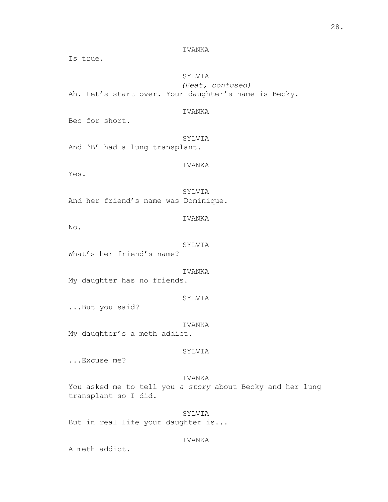Is true.

# SYLVIA

*(Beat, confused)* Ah. Let's start over. Your daughter's name is Becky.

# IVANKA

Bec for short.

SYLVIA And 'B' had a lung transplant.

# IVANKA

Yes.

SYLVIA And her friend's name was Dominique.

No.

### SYLVIA

IVANKA

What's her friend's name?

IVANKA

My daughter has no friends.

### SYLVIA

...But you said?

### IVANKA

My daughter's a meth addict.

### SYLVIA

...Excuse me?

# IVANKA

You asked me to tell you *a story* about Becky and her lung transplant so I did.

SYLVIA But in real life your daughter is...

### IVANKA

A meth addict.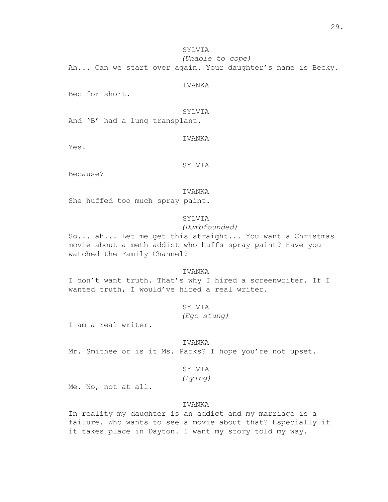SYLVIA *(Unable to cope)*

Ah... Can we start over again. Your daughter's name is Becky.

IVANKA

Bec for short.

SYLVIA

And 'B' had a lung transplant.

Yes.

IVANKA

SYLVIA

Because?

IVANKA

She huffed too much spray paint.

# SYLVIA

*(Dumbfounded)*

So... ah... Let me get this straight... You want a Christmas movie about a meth addict who huffs spray paint? Have you watched the Family Channel?

# IVANKA

I don't want truth. That's why I hired a screenwriter. If I wanted truth, I would've hired a real writer.

SYLVIA

*(Ego stung)*

I am a real writer.

IVANKA

Mr. Smithee or is it Ms. Parks? I hope you're not upset.

### SYLVIA

*(Lying)*

Me. No, not at all.

# IVANKA

In reality my daughter is an addict and my marriage is a failure. Who wants to see a movie about that? Especially if it takes place in Dayton. I want my story told my way.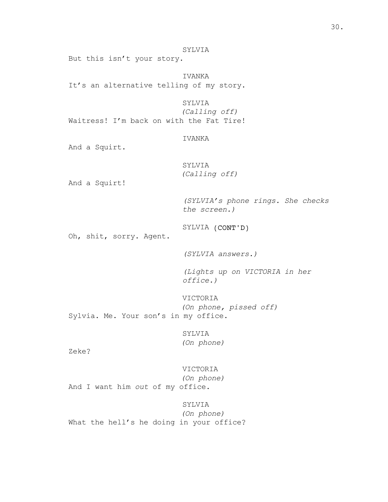30.

# SYLVIA

But this isn't your story.

IVANKA It's an alternative telling of my story.

SYLVIA *(Calling off)* Waitress! I'm back on with the Fat Tire!

### IVANKA

And a Squirt.

SYLVIA *(Calling off)*

And a Squirt!

*(SYLVIA's phone rings. She checks the screen.)*

SYLVIA (CONT'D)

Oh, shit, sorry. Agent.

*(SYLVIA answers.)*

*(Lights up on VICTORIA in her office.)*

VICTORIA *(On phone, pissed off)* Sylvia. Me. Your son's in my office.

> SYLVIA *(On phone)*

Zeke?

VICTORIA *(On phone)* And I want him *out* of my office.

SYLVIA *(On phone)* What the hell's he doing in your office?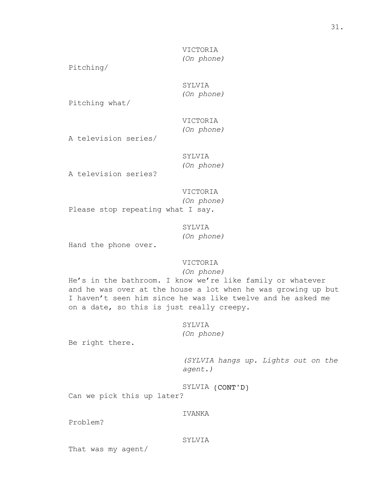VICTORIA *(On phone)*

Pitching/

# SYLVIA *(On phone)*

Pitching what/

# VICTORIA *(On phone)*

A television series/

# SYLVIA *(On phone)*

A television series?

# VICTORIA

*(On phone)*

Please stop repeating what I say.

SYLVIA *(On phone)*

Hand the phone over.

### VICTORIA

*(On phone)*

He's in the bathroom. I know we're like family or whatever and he was over at the house a lot when he was growing up but I haven't seen him since he was like twelve and he asked me on a date, so this is just really creepy.

### SYLVIA

*(On phone)*

Be right there.

*(SYLVIA hangs up. Lights out on the agent.)*

SYLVIA (CONT'D)

Can we pick this up later?

### IVANKA

Problem?

### SYLVIA

That was my agent/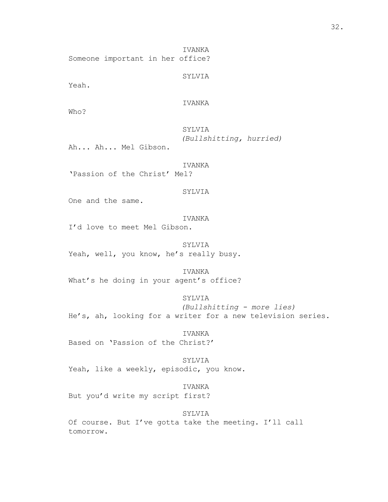IVANKA Someone important in her office?

SYLVIA

Yeah.

IVANKA

Who?

SYLVIA *(Bullshitting, hurried)*

Ah... Ah... Mel Gibson.

IVANKA

'Passion of the Christ' Mel?

SYLVIA

One and the same.

IVANKA

I'd love to meet Mel Gibson.

SYLVIA Yeah, well, you know, he's really busy.

IVANKA

What's he doing in your agent's office?

SYLVIA

*(Bullshitting - more lies)* He's, ah, looking for a writer for a new television series.

IVANKA Based on 'Passion of the Christ?'

SYLVIA Yeah, like a weekly, episodic, you know.

IVANKA But you'd write my script first?

SYLVIA

Of course. But I've gotta take the meeting. I'll call tomorrow.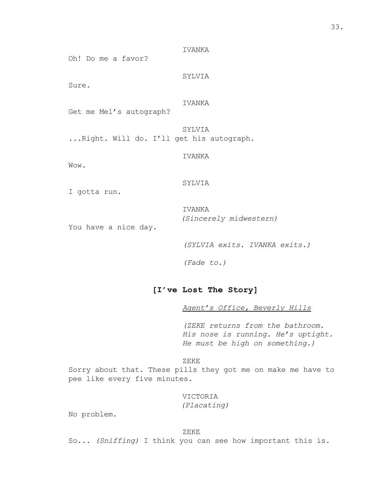Oh! Do me a favor?

SYLVIA

IVANKA

Sure.

IVANKA

Get me Mel's autograph?

SYLVIA ...Right. Will do. I'll get his autograph.

IVANKA

Wow.

### SYLVIA

I gotta run.

IVANKA *(Sincerely midwestern)*

You have a nice day.

*(SYLVIA exits. IVANKA exits.)*

*(Fade to.)*

## **[I've Lost The Story]**

*Agent's Office, Beverly Hills*

*(ZEKE returns from the bathroom. His nose is running. He's uptight. He must be high on something.)*

ZEKE

Sorry about that. These pills they got me on make me have to pee like every five minutes.

> VICTORIA *(Placating)*

No problem.

### ZEKE

So... *(Sniffing)* I think you can see how important this is.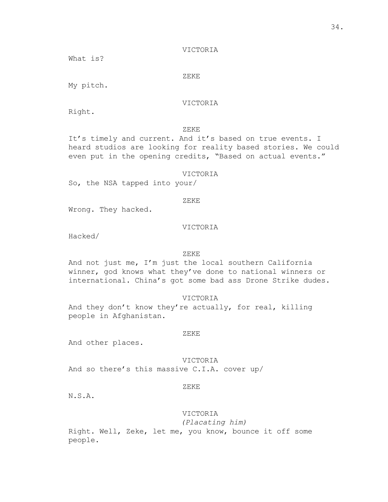VICTORIA

What is?

ZEKE

My pitch.

VICTORIA

Right.

ZEKE

It's timely and current. And it's based on true events. I heard studios are looking for reality based stories. We could even put in the opening credits, "Based on actual events."

### VICTORIA

So, the NSA tapped into your/

ZEKE

Wrong. They hacked.

#### VICTORIA

Hacked/

### ZEKE

And not just me, I'm just the local southern California winner, god knows what they've done to national winners or international. China's got some bad ass Drone Strike dudes.

VICTORIA

And they don't know they're actually, for real, killing people in Afghanistan.

#### ZEKE

And other places.

VICTORIA And so there's this massive C.I.A. cover up/

### ZEKE

N.S.A.

## VICTORIA

*(Placating him)*

Right. Well, Zeke, let me, you know, bounce it off some people.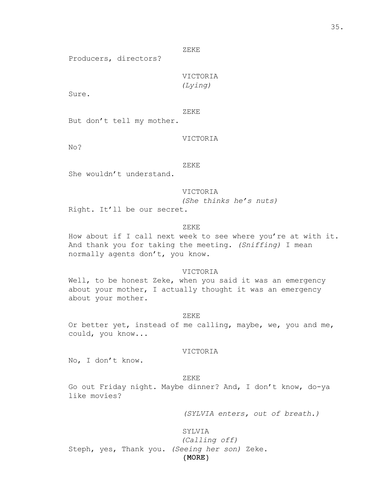ZEKE

Producers, directors?

VICTORIA *(Lying)*

Sure.

ZEKE

But don't tell my mother.

#### VICTORIA

No?

#### ZEKE

She wouldn't understand.

VICTORIA *(She thinks he's nuts)* Right. It'll be our secret.

#### ZEKE

How about if I call next week to see where you're at with it. And thank you for taking the meeting. *(Sniffing)* I mean normally agents don't, you know.

### VICTORIA

Well, to be honest Zeke, when you said it was an emergency about your mother, I actually thought it was an emergency about your mother.

#### ZEKE

Or better yet, instead of me calling, maybe, we, you and me, could, you know...

### VICTORIA

No, I don't know.

#### ZEKE

Go out Friday night. Maybe dinner? And, I don't know, do-ya like movies?

*(SYLVIA enters, out of breath.)*

### SYLVIA

(MORE) *(Calling off)* Steph, yes, Thank you. *(Seeing her son)* Zeke.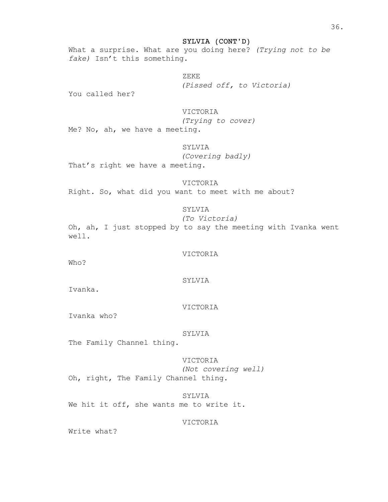What a surprise. What are you doing here? *(Trying not to be fake)* Isn't this something.

ZEKE

*(Pissed off, to Victoria)*

You called her?

### VICTORIA

*(Trying to cover)*

Me? No, ah, we have a meeting.

### SYLVIA

*(Covering badly)*

That's right we have a meeting.

#### VICTORIA

Right. So, what did you want to meet with me about?

## SYLVIA

*(To Victoria)*

Oh, ah, I just stopped by to say the meeting with Ivanka went well.

#### VICTORIA

Who?

#### SYLVIA

Ivanka.

#### VICTORIA

Ivanka who?

### SYLVIA

The Family Channel thing.

## VICTORIA *(Not covering well)* Oh, right, The Family Channel thing.

SYLVIA We hit it off, she wants me to write it.

### VICTORIA

Write what?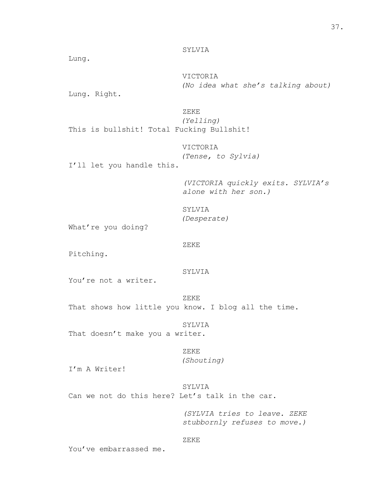Lung.

VICTORIA *(No idea what she's talking about)*

Lung. Right.

ZEKE *(Yelling)* This is bullshit! Total Fucking Bullshit!

> VICTORIA *(Tense, to Sylvia)*

I'll let you handle this.

*(VICTORIA quickly exits. SYLVIA's alone with her son.)*

```
SYLVIA
(Desperate)
```
What're you doing?

```
ZEKE
```
Pitching.

## SYLVIA

You're not a writer.

ZEKE

That shows how little you know. I blog all the time.

SYLVIA

That doesn't make you a writer.

```
ZEKE
```
*(Shouting)*

I'm A Writer!

## SYLVIA

Can we not do this here? Let's talk in the car.

*(SYLVIA tries to leave. ZEKE stubbornly refuses to move.)*

### ZEKE

You've embarrassed me.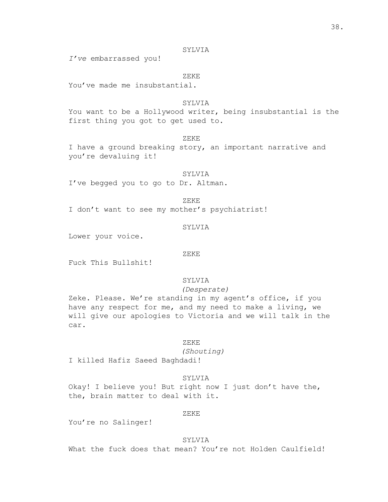*I've* embarrassed you!

ZEKE

You've made me insubstantial.

### **SYLVIA**

You want to be a Hollywood writer, being insubstantial is the first thing you got to get used to.

#### ZEKE

I have a ground breaking story, an important narrative and you're devaluing it!

SYLVIA I've begged you to go to Dr. Altman.

ZEKE

I don't want to see my mother's psychiatrist!

#### SYLVIA

Lower your voice.

#### ZEKE

Fuck This Bullshit!

## SYLVIA

*(Desperate)*

Zeke. Please. We're standing in my agent's office, if you have any respect for me, and my need to make a living, we will give our apologies to Victoria and we will talk in the car.

#### ZEKE

*(Shouting)*

I killed Hafiz Saeed Baghdadi!

### SYLVIA

Okay! I believe you! But right now I just don't have the, the, brain matter to deal with it.

#### ZEKE

You're no Salinger!

### SYLVIA

What the fuck does that mean? You're not Holden Caulfield!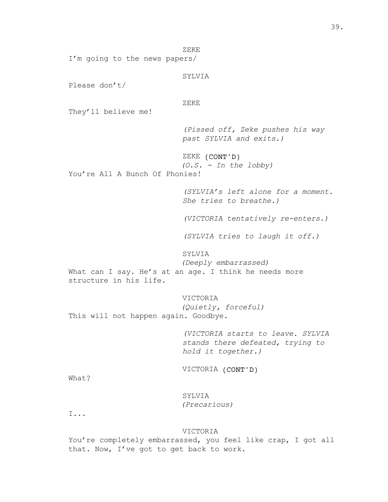ZEKE I'm going to the news papers/ SYLVIA Please don't/ ZEKE They'll believe me! *(Pissed off, Zeke pushes his way past SYLVIA and exits.)* ZEKE (CONT'D) *(O.S. - In the lobby)* You're All A Bunch Of Phonies! *(SYLVIA's left alone for a moment. She tries to breathe.) (VICTORIA tentatively re-enters.) (SYLVIA tries to laugh it off.)* SYLVIA *(Deeply embarrassed)* What can I say. He's at an age. I think he needs more structure in his life. VICTORIA *(Quietly, forceful)* This will not happen again. Goodbye. *(VICTORIA starts to leave. SYLVIA stands there defeated, trying to hold it together.)* VICTORIA (CONT'D) What? SYLVIA *(Precarious)* I... VICTORIA You're completely embarrassed, you feel like crap, I got all

that. Now, I've got to get back to work.

39.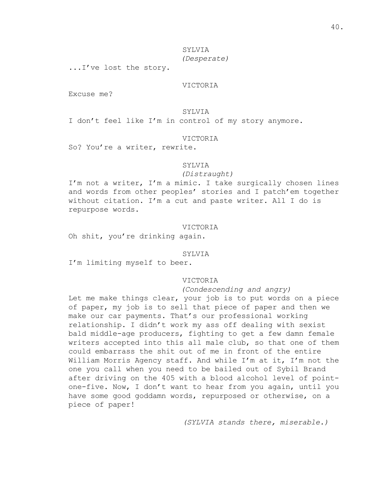## SYLVIA *(Desperate)*

...I've lost the story.

### VICTORIA

Excuse me?

### SYLVIA

I don't feel like I'm in control of my story anymore.

#### VICTORIA

So? You're a writer, rewrite.

#### SYLVIA

#### *(Distraught)*

I'm not a writer, I'm a mimic. I take surgically chosen lines and words from other peoples' stories and I patch'em together without citation. I'm a cut and paste writer. All I do is repurpose words.

#### VICTORIA

Oh shit, you're drinking again.

#### SYLVIA

I'm limiting myself to beer.

### VICTORIA

### *(Condescending and angry)*

Let me make things clear, your job is to put words on a piece of paper, my job is to sell that piece of paper and then we make our car payments. That's our professional working relationship. I didn't work my ass off dealing with sexist bald middle-age producers, fighting to get a few damn female writers accepted into this all male club, so that one of them could embarrass the shit out of me in front of the entire William Morris Agency staff. And while I'm at it, I'm not the one you call when you need to be bailed out of Sybil Brand after driving on the 405 with a blood alcohol level of pointone-five. Now, I don't want to hear from you again, until you have some good goddamn words, repurposed or otherwise, on a piece of paper!

*(SYLVIA stands there, miserable.)*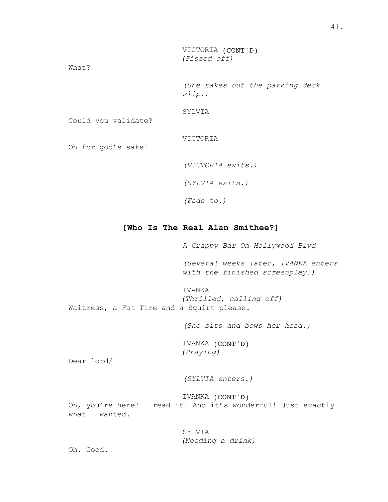*(Pissed off)*

What?

*(She takes out the parking deck slip.)*

SYLVIA

Could you validate?

VICTORIA

Oh for god's sake!

*(VICTORIA exits.)*

*(SYLVIA exits.)*

*(Fade to.)*

## **[Who Is The Real Alan Smithee?]**

*A Crappy Bar On Hollywood Blvd*

*(Several weeks later, IVANKA enters with the finished screenplay.)*

IVANKA *(Thrilled, calling off)* Waitress, a Fat Tire and a Squirt please.

*(She sits and bows her head.)*

IVANKA (CONT'D) *(Praying)*

Dear lord/

*(SYLVIA enters.)*

IVANKA (CONT'D) Oh, you're here! I read it! And it's wonderful! Just exactly what I wanted.

## SYLVIA

*(Needing a drink)*

Oh. Good.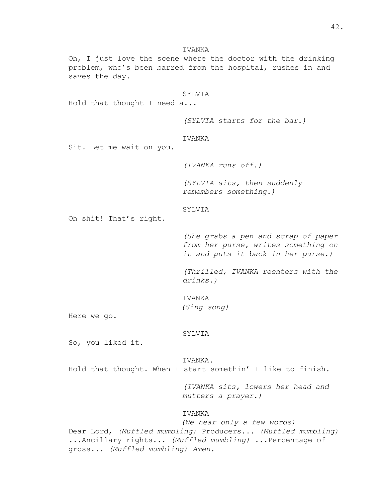IVANKA Oh, I just love the scene where the doctor with the drinking problem, who's been barred from the hospital, rushes in and saves the day. SYLVIA Hold that thought I need a... *(SYLVIA starts for the bar.)* IVANKA Sit. Let me wait on you. *(IVANKA runs off.) (SYLVIA sits, then suddenly remembers something.)* SYLVIA Oh shit! That's right. *(She grabs a pen and scrap of paper from her purse, writes something on it and puts it back in her purse.) (Thrilled, IVANKA reenters with the drinks.)* **TVANKA** *(Sing song)* Here we go. SYLVIA So, you liked it. IVANKA. Hold that thought. When I start somethin' I like to finish. *(IVANKA sits, lowers her head and mutters a prayer.)* IVANKA *(We hear only a few words)*

Dear Lord, *(Muffled mumbling)* Producers... *(Muffled mumbling) ...*Ancillary rights... *(Muffled mumbling)* ...Percentage of gross... *(Muffled mumbling) Amen.*

42.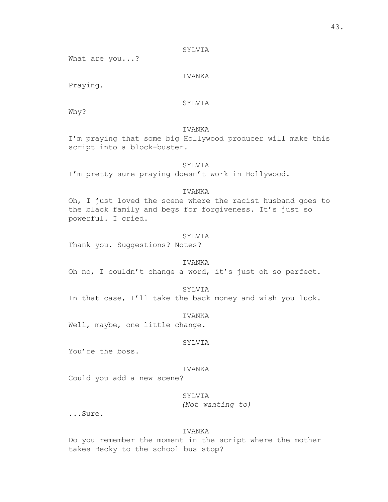What are you...?

### IVANKA

Praying.

## SYLVIA

Why?

## IVANKA

I'm praying that some big Hollywood producer will make this script into a block-buster.

#### SYLVIA

I'm pretty sure praying doesn't work in Hollywood.

## IVANKA

Oh, I just loved the scene where the racist husband goes to the black family and begs for forgiveness. It's just so powerful. I cried.

#### SYLVIA

Thank you. Suggestions? Notes?

### IVANKA

Oh no, I couldn't change a word, it's just oh so perfect.

#### SYLVIA

In that case, I'll take the back money and wish you luck.

#### IVANKA

Well, maybe, one little change.

#### SYLVIA

You're the boss.

### IVANKA

Could you add a new scene?

### SYLVIA

*(Not wanting to)*

...Sure.

#### IVANKA

Do you remember the moment in the script where the mother takes Becky to the school bus stop?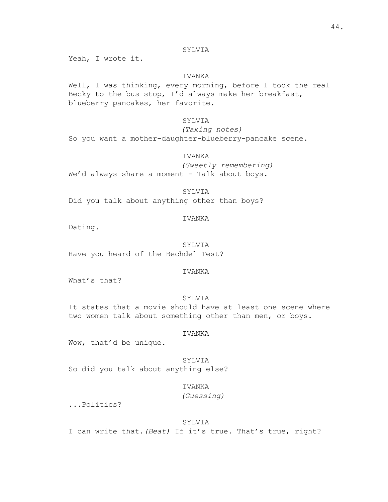Yeah, I wrote it.

### IVANKA

Well, I was thinking, every morning, before I took the real Becky to the bus stop, I'd always make her breakfast, blueberry pancakes, her favorite.

### SYLVIA

*(Taking notes)* So you want a mother-daughter-blueberry-pancake scene.

### IVANKA

*(Sweetly remembering)* We'd always share a moment - Talk about boys.

### SYLVIA

Did you talk about anything other than boys?

### IVANKA

Dating.

SYLVIA Have you heard of the Bechdel Test?

### IVANKA

What's that?

### SYLVIA

It states that a movie should have at least one scene where two women talk about something other than men, or boys.

#### IVANKA

Wow, that'd be unique.

SYLVIA So did you talk about anything else?

## IVANKA

*(Guessing)*

...Politics?

#### SYLVIA

I can write that.*(Beat)* If it's true. That's true, right?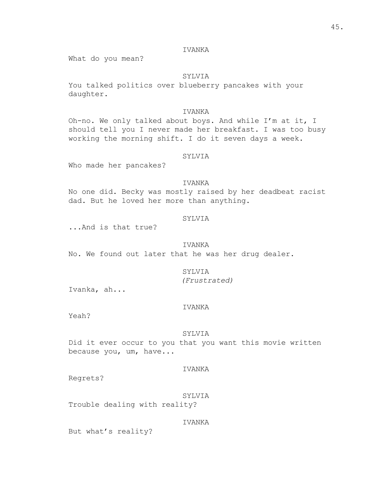### IVANKA

What do you mean?

### SYLVIA

You talked politics over blueberry pancakes with your daughter.

### IVANKA

Oh-no. We only talked about boys. And while I'm at it, I should tell you I never made her breakfast. I was too busy working the morning shift. I do it seven days a week.

### SYLVIA

Who made her pancakes?

#### **TVANKA**

No one did. Becky was mostly raised by her deadbeat racist dad. But he loved her more than anything.

### SYLVIA

...And is that true?

### IVANKA

No. We found out later that he was her drug dealer.

# SYLVIA

*(Frustrated)*

Ivanka, ah...

### IVANKA

Yeah?

### SYLVIA

Did it ever occur to you that you want this movie written because you, um, have...

### IVANKA

Regrets?

SYLVIA Trouble dealing with reality?

IVANKA

But what's reality?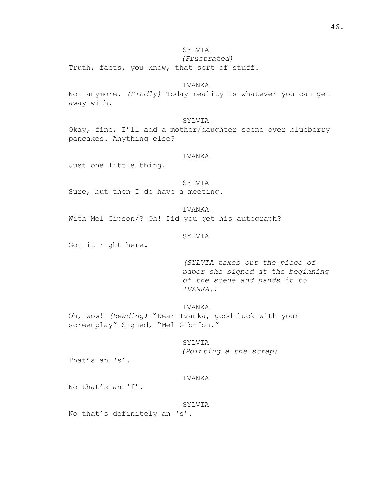*(Frustrated)*

Truth, facts, you know, that sort of stuff.

### IVANKA

Not anymore. *(Kindly)* Today reality is whatever you can get away with.

#### SYLVIA

Okay, fine, I'll add a mother/daughter scene over blueberry pancakes. Anything else?

### IVANKA

Just one little thing.

#### SYLVIA

Sure, but then I do have a meeting.

IVANKA

With Mel Gipson/? Oh! Did you get his autograph?

#### SYLVIA

Got it right here.

*(SYLVIA takes out the piece of paper she signed at the beginning of the scene and hands it to IVANKA.)*

IVANKA

Oh, wow! *(Reading)* "Dear Ivanka, good luck with your screenplay" Signed, "Mel Gib-fon."

> SYLVIA *(Pointing a the scrap)*

That's an 's'.

#### IVANKA

No that's an 'f'.

#### SYLVIA

No that's definitely an 's'.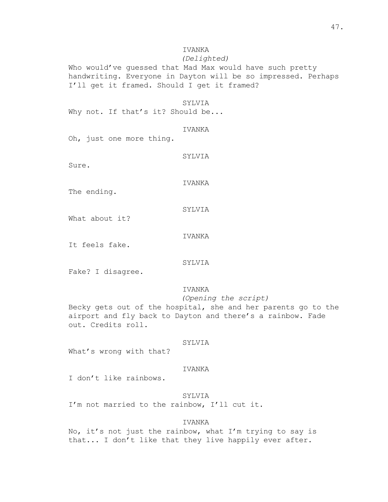## IVANKA

### *(Delighted)*

Who would've guessed that Mad Max would have such pretty handwriting. Everyone in Dayton will be so impressed. Perhaps I'll get it framed. Should I get it framed?

#### SYLVIA

Why not. If that's it? Should be...

### IVANKA

Oh, just one more thing.

SYLVIA

Sure.

### IVANKA

The ending.

### SYLVIA

What about it?

#### IVANKA

It feels fake.

### SYLVIA

Fake? I disagree.

### IVANKA

*(Opening the script)* Becky gets out of the hospital, she and her parents go to the airport and fly back to Dayton and there's a rainbow. Fade out. Credits roll.

#### SYLVIA

What's wrong with that?

### IVANKA

I don't like rainbows.

### SYLVIA

I'm not married to the rainbow, I'll cut it.

### IVANKA

No, it's not just the rainbow, what I'm trying to say is that... I don't like that they live happily ever after.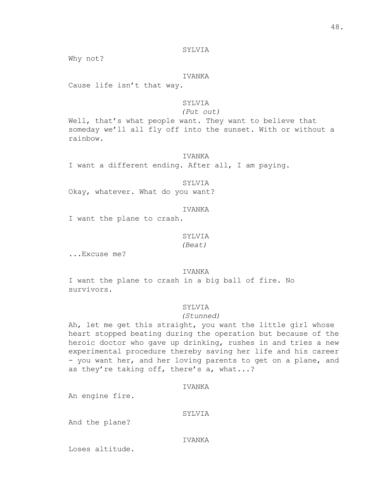Why not?

### IVANKA

Cause life isn't that way.

## SYLVIA

*(Put out)*

Well, that's what people want. They want to believe that someday we'll all fly off into the sunset. With or without a rainbow.

IVANKA

I want a different ending. After all, I am paying.

#### SYLVIA

Okay, whatever. What do you want?

### IVANKA

I want the plane to crash.

#### SYLVIA

*(Beat)*

...Excuse me?

#### IVANKA

I want the plane to crash in a big ball of fire. No survivors.

#### SYLVIA

#### *(Stunned)*

Ah, let me get this straight, you want the little girl whose heart stopped beating during the operation but because of the heroic doctor who gave up drinking, rushes in and tries a new experimental procedure thereby saving her life and his career - you want her, and her loving parents to get on a plane, and as they're taking off, there's a, what...?

### IVANKA

An engine fire.

#### SYLVIA

And the plane?

#### IVANKA

Loses altitude.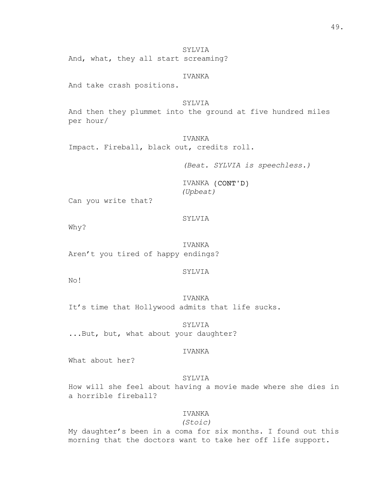SYLVIA And, what, they all start screaming?

IVANKA

And take crash positions.

SYLVIA And then they plummet into the ground at five hundred miles per hour/

IVANKA Impact. Fireball, black out, credits roll.

*(Beat. SYLVIA is speechless.)*

IVANKA (CONT'D) *(Upbeat)*

Can you write that?

SYLVIA

Why?

IVANKA Aren't you tired of happy endings?

SYLVIA

No!

**TVANKA** It's time that Hollywood admits that life sucks.

SYLVIA ...But, but, what about your daughter?

### IVANKA

What about her?

### SYLVIA

How will she feel about having a movie made where she dies in a horrible fireball?

### IVANKA

*(Stoic)*

My daughter's been in a coma for six months. I found out this morning that the doctors want to take her off life support.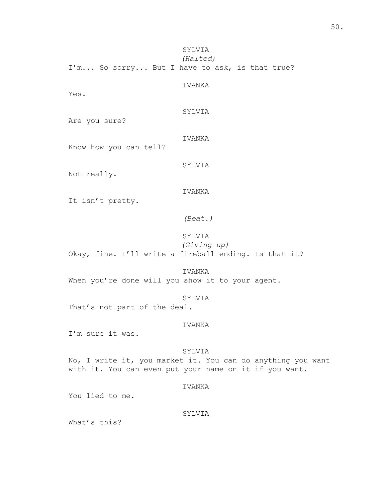SYLVIA *(Halted)*

I'm... So sorry... But I have to ask, is that true?

IVANKA

Yes.

SYLVIA

Are you sure?

IVANKA

Know how you can tell?

SYLVIA

Not really.

IVANKA

It isn't pretty.

*(Beat.)*

### SYLVIA

*(Giving up)* Okay, fine. I'll write a fireball ending. Is that it?

IVANKA When you're done will you show it to your agent.

### SYLVIA

That's not part of the deal.

### IVANKA

I'm sure it was.

#### SYLVIA

No, I write it, you market it. You can do anything you want with it. You can even put your name on it if you want.

### IVANKA

You lied to me.

### SYLVIA

What's this?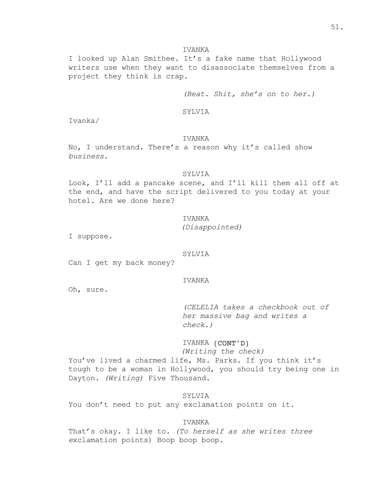#### IVANKA

I looked up Alan Smithee. It's a fake name that Hollywood writers use when they want to disassociate themselves from a project they think is crap.

*(Beat. Shit, she's on to her.)*

SYLVIA

Ivanka/

#### IVANKA

No, I understand. There's a reason why it's called show *business*.

#### SYLVIA

Look, I'll add a pancake scene, and I'll kill them all off at the end, and have the script delivered to you today at your hotel. Are we done here?

> IVANKA *(Disappointed)*

I suppose.

#### SYLVIA

Can I get my back money?

#### IVANKA

Oh, sure.

*(CELELIA takes a checkbook out of her massive bag and writes a check.)*

## IVANKA (CONT'D) *(Writing the check)*

You've lived a charmed life, Ms. Parks. If you think it's tough to be a woman in Hollywood, you should try being one in Dayton. *(Writing)* Five Thousand.

SYLVIA You don't need to put any exclamation points on it.

### IVANKA

That's okay. I like to. *(To herself as she writes three e*xclamation points) Boop boop boop.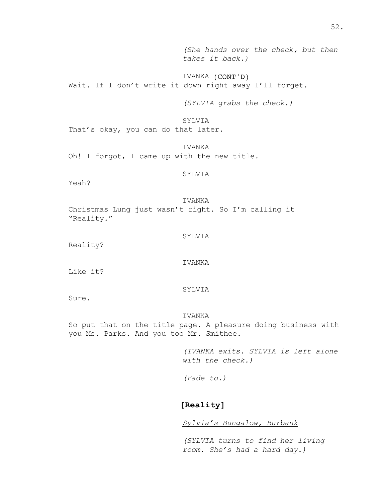*(She hands over the check, but then takes it back.)*

IVANKA (CONT'D) Wait. If I don't write it down right away I'll forget.

*(SYLVIA grabs the check.)*

SYLVIA That's okay, you can do that later.

IVANKA Oh! I forgot, I came up with the new title.

SYLVIA

Yeah?

IVANKA Christmas Lung just wasn't right. So I'm calling it "Reality."

SYLVIA

Reality?

IVANKA

Like it?

### SYLVIA

Sure.

#### IVANKA

So put that on the title page. A pleasure doing business with you Ms. Parks. And you too Mr. Smithee.

> *(IVANKA exits. SYLVIA is left alone with the check.)*

*(Fade to.)*

## **[Reality]**

*Sylvia's Bungalow, Burbank*

*(SYLVIA turns to find her living room. She's had a hard day.)*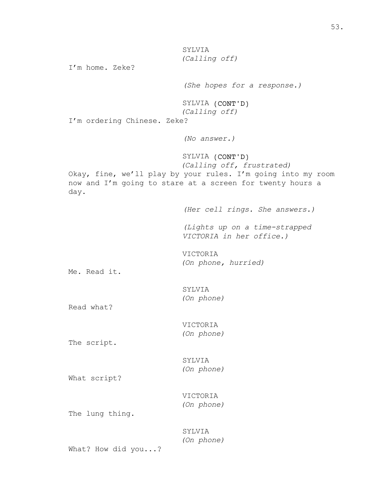SYLVIA *(Calling off)*

I'm home. Zeke?

*(She hopes for a response.)*

SYLVIA (CONT'D) *(Calling off)*

I'm ordering Chinese. Zeke?

*(No answer.)*

SYLVIA (CONT'D) *(Calling off, frustrated)*

Okay, fine, we'll play by your rules. I'm going into my room now and I'm going to stare at a screen for twenty hours a day.

*(Her cell rings. She answers.)*

*(Lights up on a time-strapped VICTORIA in her office.)*

VICTORIA *(On phone, hurried)*

Me. Read it.

SYLVIA *(On phone)*

Read what?

VICTORIA *(On phone)*

The script.

SYLVIA *(On phone)*

What script?

VICTORIA *(On phone)*

The lung thing.

SYLVIA *(On phone)*

What? How did you...?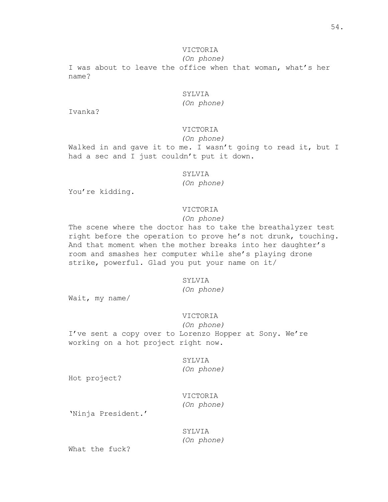## VICTORIA

*(On phone)*

I was about to leave the office when that woman, what's her name?

## SYLVIA

*(On phone)*

Ivanka?

## VICTORIA

*(On phone)*

Walked in and gave it to me. I wasn't going to read it, but I had a sec and I just couldn't put it down.

### SYLVIA

*(On phone)*

You're kidding.

### VICTORIA

*(On phone)*

The scene where the doctor has to take the breathalyzer test right before the operation to prove he's not drunk, touching. And that moment when the mother breaks into her daughter's room and smashes her computer while she's playing drone strike, powerful. Glad you put your name on it/

#### SYLVIA

*(On phone)*

Wait, my name/

#### VICTORIA

*(On phone)* I've sent a copy over to Lorenzo Hopper at Sony. We're working on a hot project right now.

### SYLVIA

*(On phone)*

Hot project?

## VICTORIA *(On phone)*

'Ninja President.'

## SYLVIA *(On phone)*

What the fuck?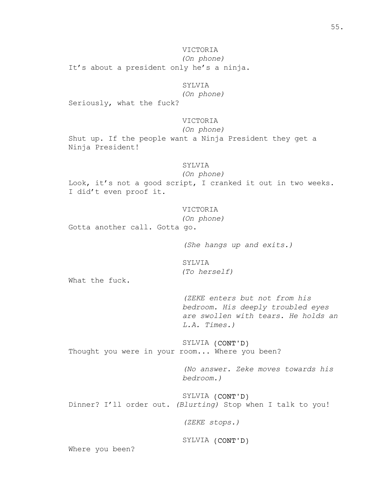VICTORIA *(On phone)* It's about a president only he's a ninja.

## SYLVIA

*(On phone)*

Seriously, what the fuck?

### VICTORIA

*(On phone)*

Shut up. If the people want a Ninja President they get a Ninja President!

### SYLVIA

*(On phone)*

Look, it's not a good script, I cranked it out in two weeks. I did't even proof it.

### VICTORIA

*(On phone)*

Gotta another call. Gotta go.

*(She hangs up and exits.)*

SYLVIA *(To herself)*

What the fuck.

*(ZEKE enters but not from his bedroom. His deeply troubled eyes are swollen with tears. He holds an L.A. Times.)*

SYLVIA (CONT'D) Thought you were in your room... Where you been?

> *(No answer. Zeke moves towards his bedroom.)*

SYLVIA (CONT'D) Dinner? I'll order out. *(Blurting)* Stop when I talk to you!

*(ZEKE stops.)*

SYLVIA (CONT'D)

Where you been?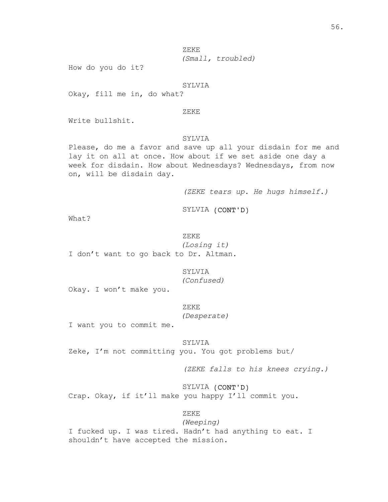ZEKE *(Small, troubled)*

How do you do it?

#### SYLVIA

Okay, fill me in, do what?

### ZEKE

Write bullshit.

#### SYLVIA

Please, do me a favor and save up all your disdain for me and lay it on all at once. How about if we set aside one day a week for disdain. How about Wednesdays? Wednesdays, from now on, will be disdain day.

*(ZEKE tears up. He hugs himself.)*

SYLVIA (CONT'D)

What?

ZEKE *(Losing it)* I don't want to go back to Dr. Altman.

SYLVIA

*(Confused)*

Okay. I won't make you.

ZEKE

*(Desperate)*

I want you to commit me.

SYLVIA

Zeke, I'm not committing you. You got problems but/

*(ZEKE falls to his knees crying.)*

SYLVIA (CONT'D) Crap. Okay, if it'll make you happy I'll commit you.

ZEKE

*(Weeping)* I fucked up. I was tired. Hadn't had anything to eat. I shouldn't have accepted the mission.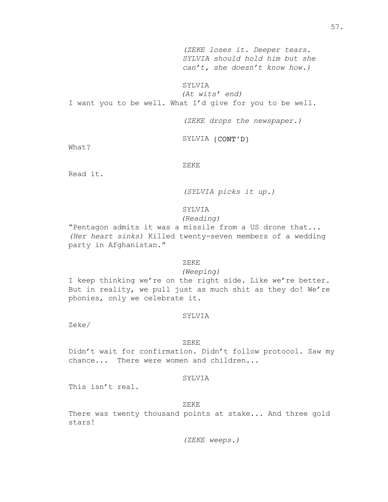*(ZEKE loses it. Deeper tears. SYLVIA should hold him but she can't, she doesn't know how.)*

### SYLVIA

*(At wits' end)* I want you to be well. What I'd give for you to be well.

*(ZEKE drops the newspaper.)*

SYLVIA (CONT'D)

What?

ZEKE

Read it.

*(SYLVIA picks it up.)*

## SYLVIA

### *(Reading)*

"Pentagon admits it was a missile from a US drone that... *(Her heart sinks)* Killed twenty-seven members of a wedding party in Afghanistan."

#### ZEKE

### *(Weeping)*

I keep thinking we're on the right side. Like we're better. But in reality, we pull just as much shit as they do! We're phonies, only we celebrate it.

#### SYLVIA

Zeke/

#### ZEKE

Didn't wait for confirmation. Didn't follow protocol. Saw my chance... There were women and children...

### SYLVIA

This isn't real.

ZEKE

There was twenty thousand points at stake... And three gold stars!

*(ZEKE weeps.)*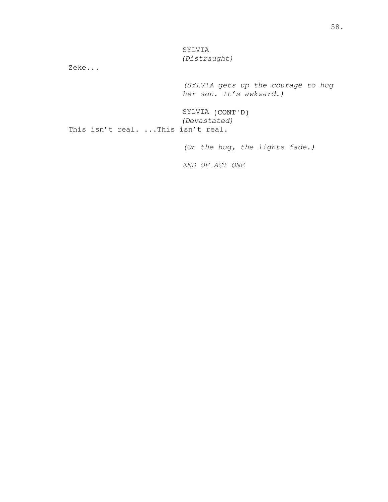SYLVIA *(Distraught)*

Zeke...

*(SYLVIA gets up the courage to hug her son. It's awkward.)*

SYLVIA (CONT'D) *(Devastated)* This isn't real. ... This isn't real.

*(On the hug, the lights fade.)*

*END OF ACT ONE*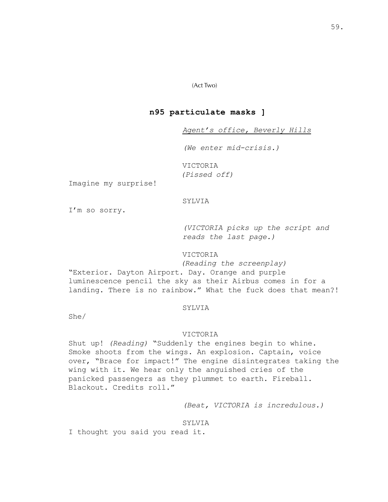### (Act Two)

## **n95 particulate masks ]**

*Agent's office, Beverly Hills*

*(We enter mid-crisis.)*

VICTORIA *(Pissed off)*

Imagine my surprise!

#### SYLVIA

I'm so sorry.

*(VICTORIA picks up the script and reads the last page.)*

### VICTORIA

*(Reading the screenplay)* "Exterior. Dayton Airport. Day. Orange and purple luminescence pencil the sky as their Airbus comes in for a landing. There is no rainbow." What the fuck does that mean?!

#### SYLVIA

She/

### VICTORIA

Shut up! *(Reading)* "Suddenly the engines begin to whine. Smoke shoots from the wings. An explosion. Captain, voice over, "Brace for impact!" The engine disintegrates taking the wing with it. We hear only the anguished cries of the panicked passengers as they plummet to earth. Fireball. Blackout. Credits roll."

*(Beat, VICTORIA is incredulous.)*

#### SYLVIA

I thought you said you read it.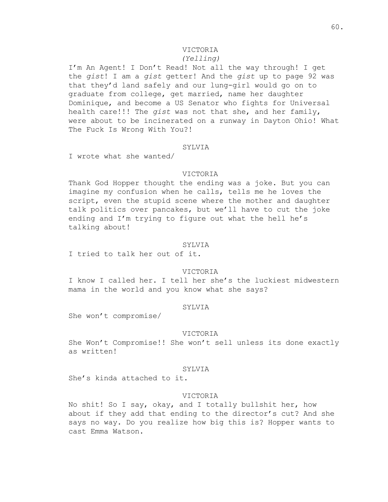## VICTORIA

### *(Yelling)*

I'm An Agent! I Don't Read! Not all the way through! I get the *gist*! I am a *gist* getter! And the *gist* up to page 92 was that they'd land safely and our lung-girl would go on to graduate from college, get married, name her daughter Dominique, and become a US Senator who fights for Universal health care!!! The *gist* was not that she, and her family, were about to be incinerated on a runway in Dayton Ohio! What The Fuck Is Wrong With You?!

#### SYLVIA

I wrote what she wanted/

#### VICTORIA

Thank God Hopper thought the ending was a joke. But you can imagine my confusion when he calls, tells me he loves the script, even the stupid scene where the mother and daughter talk politics over pancakes, but we'll have to cut the joke ending and I'm trying to figure out what the hell he's talking about!

### SYLVIA

I tried to talk her out of it.

#### VICTORIA

I know I called her. I tell her she's the luckiest midwestern mama in the world and you know what she says?

#### SYLVIA

She won't compromise/

#### VICTORIA

She Won't Compromise!! She won't sell unless its done exactly as written!

#### SYLVIA

She's kinda attached to it.

#### VICTORIA

No shit! So I say, okay, and I totally bullshit her, how about if they add that ending to the director's cut? And she says no way. Do you realize how big this is? Hopper wants to cast Emma Watson.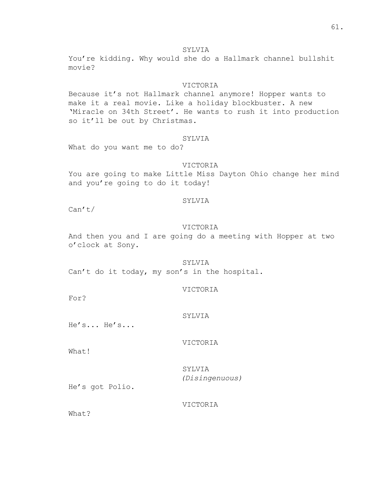You're kidding. Why would she do a Hallmark channel bullshit movie?

### VICTORIA

Because it's not Hallmark channel anymore! Hopper wants to make it a real movie. Like a holiday blockbuster. A new 'Miracle on 34th Street'. He wants to rush it into production so it'll be out by Christmas.

### SYLVIA

What do you want me to do?

#### VICTORIA

You are going to make Little Miss Dayton Ohio change her mind and you're going to do it today!

#### SYLVIA

Can't/

### VICTORIA

And then you and I are going do a meeting with Hopper at two o'clock at Sony.

### SYLVIA

Can't do it today, my son's in the hospital.

### VICTORIA

For?

### SYLVIA

He's... He's...

### VICTORIA

What!

SYLVIA *(Disingenuous)*

He's got Polio.

### VICTORIA

What?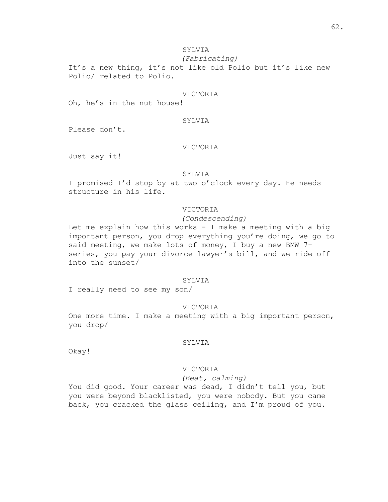*(Fabricating)*

It's a new thing, it's not like old Polio but it's like new Polio/ related to Polio.

### VICTORIA

Oh, he's in the nut house!

#### SYLVIA

Please don't.

### VICTORIA

Just say it!

### SYLVIA

I promised I'd stop by at two o'clock every day. He needs structure in his life.

### VICTORIA

### *(Condescending)*

Let me explain how this works - I make a meeting with a big important person, you drop everything you're doing, we go to said meeting, we make lots of money, I buy a new BMW 7 series, you pay your divorce lawyer's bill, and we ride off into the sunset/

#### SYLVIA

I really need to see my son/

#### VICTORIA

One more time. I make a meeting with a big important person, you drop/

#### SYLVIA

Okay!

#### VICTORIA

### *(Beat, calming)*

You did good. Your career was dead, I didn't tell you, but you were beyond blacklisted, you were nobody. But you came back, you cracked the glass ceiling, and I'm proud of you.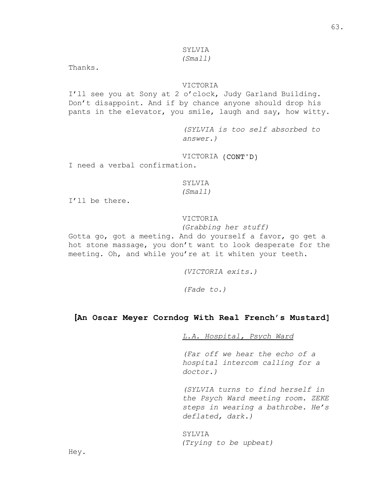### *(Small)*

Thanks.

### VICTORIA

I'll see you at Sony at 2 o'clock, Judy Garland Building. Don't disappoint. And if by chance anyone should drop his pants in the elevator, you smile, laugh and say, how witty.

> *(SYLVIA is too self absorbed to answer.)*

VICTORIA (CONT'D)

I need a verbal confirmation.

### **SYLVIA**

*(Small)*

I'll be there.

## VICTORIA

### *(Grabbing her stuff)*

Gotta go, got a meeting. And do yourself a favor, go get a hot stone massage, you don't want to look desperate for the meeting. Oh, and while you're at it whiten your teeth.

*(VICTORIA exits.)*

*(Fade to.)*

## **[An Oscar Meyer Corndog With Real French's Mustard]**

*L.A. Hospital, Psych Ward*

*(Far off we hear the echo of a hospital intercom calling for a doctor.)*

*(SYLVIA turns to find herself in the Psych Ward meeting room. ZEKE steps in wearing a bathrobe. He's deflated, dark.)*

SYLVIA *(Trying to be upbeat)*

Hey.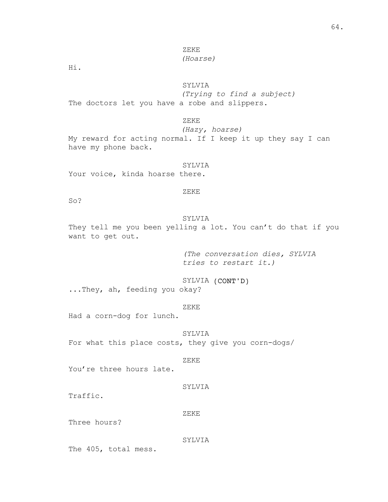ZEKE *(Hoarse)*

Hi.

## SYLVIA

*(Trying to find a subject)* The doctors let you have a robe and slippers.

ZEKE

*(Hazy, hoarse)*

My reward for acting normal. If I keep it up they say I can have my phone back.

#### SYLVIA

Your voice, kinda hoarse there.

#### ZEKE

So?

### SYLVIA

They tell me you been yelling a lot. You can't do that if you want to get out.

> *(The conversation dies, SYLVIA tries to restart it.)*

SYLVIA (CONT'D) ...They, ah, feeding you okay?

#### ZEKE

Had a corn-dog for lunch.

SYLVIA For what this place costs, they give you corn-dogs/

#### ZEKE

You're three hours late.

### SYLVIA

Traffic.

#### ZEKE

Three hours?

#### SYLVIA

The 405, total mess.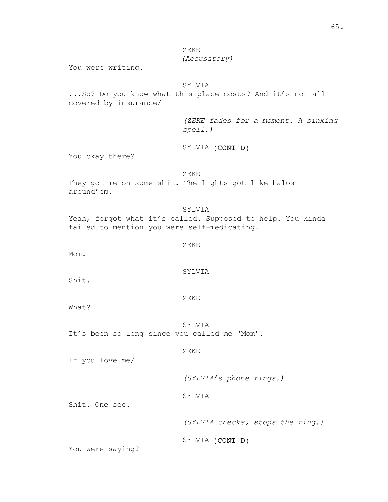ZEKE *(Accusatory)*

You were writing.

## SYLVIA

...So? Do you know what this place costs? And it's not all covered by insurance/

> *(ZEKE fades for a moment. A sinking spell.)*

SYLVIA (CONT'D)

You okay there?

ZEKE They got me on some shit. The lights got like halos around'em.

SYLVIA Yeah, forgot what it's called. Supposed to help. You kinda failed to mention you were self-medicating.

### ZEKE

Mom.

### SYLVIA

Shit.

ZEKE

What?

SYLVIA It's been so long since you called me 'Mom'.

ZEKE

If you love me/

*(SYLVIA's phone rings.)*

SYLVIA

Shit. One sec.

*(SYLVIA checks, stops the ring.)*

SYLVIA (CONT'D)

You were saying?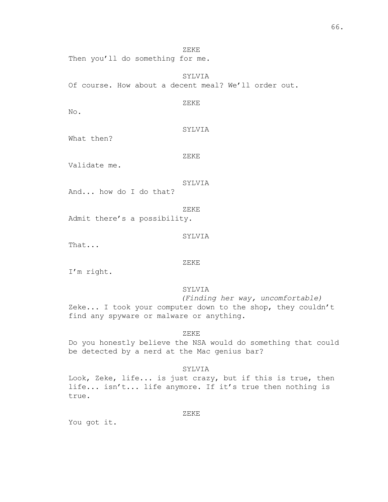Then you'll do something for me.

SYLVIA Of course. How about a decent meal? We'll order out.

ZEKE

ZEKE

No.

SYLVIA

What then?

ZEKE

Validate me.

### SYLVIA

And... how do I do that?

ZEKE

Admit there's a possibility.

SYLVIA

That...

### ZEKE

I'm right.

### SYLVIA

*(Finding her way, uncomfortable)* Zeke... I took your computer down to the shop, they couldn't find any spyware or malware or anything.

ZEKE

Do you honestly believe the NSA would do something that could be detected by a nerd at the Mac genius bar?

### SYLVIA

Look, Zeke, life... is just crazy, but if this is true, then life... isn't... life anymore. If it's true then nothing is true.

ZEKE

You got it.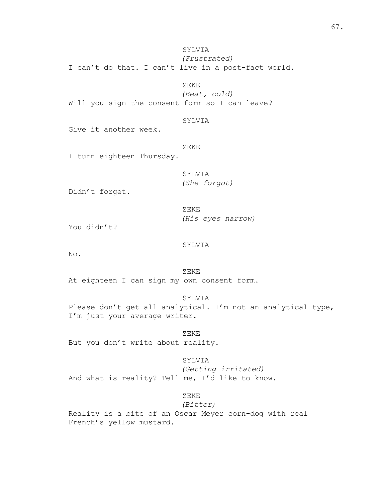SYLVIA *(Frustrated)* I can't do that. I can't live in a post-fact world.

ZEKE

*(Beat, cold)* Will you sign the consent form so I can leave?

#### SYLVIA

Give it another week.

ZEKE

I turn eighteen Thursday.

SYLVIA *(She forgot)*

Didn't forget.

ZEKE *(His eyes narrow)*

You didn't?

#### SYLVIA

No.

ZEKE

At eighteen I can sign my own consent form.

SYLVIA

Please don't get all analytical. I'm not an analytical type, I'm just your average writer.

ZEKE But you don't write about reality.

#### SYLVIA

*(Getting irritated)* And what is reality? Tell me, I'd like to know.

### ZEKE

### *(Bitter)*

Reality is a bite of an Oscar Meyer corn-dog with real French's yellow mustard.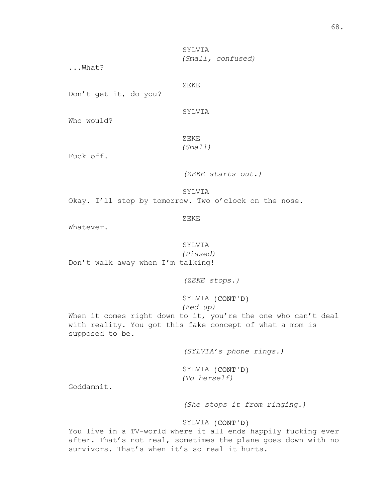SYLVIA *(Small, confused)*

...What?

ZEKE

Don't get it, do you?

SYLVIA

Who would?

ZEKE

## *(Small)*

Fuck off.

*(ZEKE starts out.)*

SYLVIA

Okay. I'll stop by tomorrow. Two o'clock on the nose.

ZEKE

Whatever.

SYLVIA

*(Pissed)* Don't walk away when I'm talking!

*(ZEKE stops.)*

SYLVIA (CONT'D) *(Fed up)*

When it comes right down to it, you're the one who can't deal with reality. You got this fake concept of what a mom is supposed to be.

*(SYLVIA's phone rings.)*

SYLVIA (CONT'D) *(To herself)*

Goddamnit.

*(She stops it from ringing.)*

### SYLVIA (CONT'D)

You live in a TV-world where it all ends happily fucking ever after. That's not real, sometimes the plane goes down with no survivors. That's when it's so real it hurts.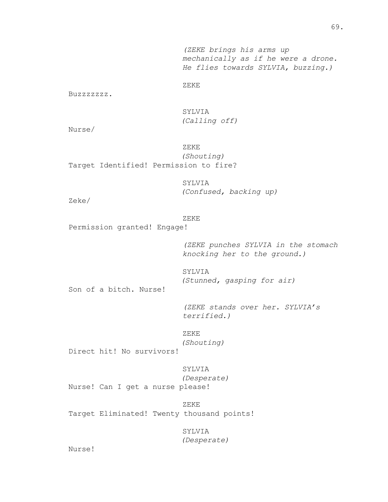*(ZEKE brings his arms up mechanically as if he were a drone. He flies towards SYLVIA, buzzing.)*

ZEKE

Buzzzzzzz.

SYLVIA *(Calling off)*

Nurse/

ZEKE *(Shouting)* Target Identified! Permission to fire?

> SYLVIA *(Confused, backing up)*

Zeke/

#### ZEKE

Permission granted! Engage!

*(ZEKE punches SYLVIA in the stomach knocking her to the ground.)*

SYLVIA *(Stunned, gasping for air)*

Son of a bitch. Nurse!

*(ZEKE stands over her. SYLVIA's terrified.)*

ZEKE *(Shouting)*

Direct hit! No survivors!

SYLVIA

*(Desperate)*

Nurse! Can I get a nurse please!

ZEKE Target Eliminated! Twenty thousand points!

SYLVIA

*(Desperate)*

Nurse!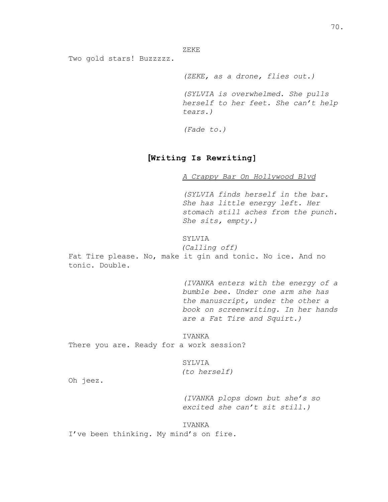ZEKE

Two gold stars! Buzzzzz.

*(ZEKE, as a drone, flies out.) (SYLVIA is overwhelmed. She pulls herself to her feet. She can't help tears.)*

*(Fade to.)*

# **[Writing Is Rewriting]**

*A Crappy Bar On Hollywood Blvd*

*(SYLVIA finds herself in the bar. She has little energy left. Her stomach still aches from the punch. She sits, empty.)*

# SYLVIA

*(Calling off)* Fat Tire please. No, make it gin and tonic. No ice. And no tonic. Double.

> *(IVANKA enters with the energy of a bumble bee. Under one arm she has the manuscript, under the other a book on screenwriting. In her hands are a Fat Tire and Squirt.)*

### IVANKA

There you are. Ready for a work session?

SYLVIA *(to herself)*

Oh jeez.

*(IVANKA plops down but she's so excited she can't sit still.)*

#### IVANKA

I've been thinking. My mind's on fire.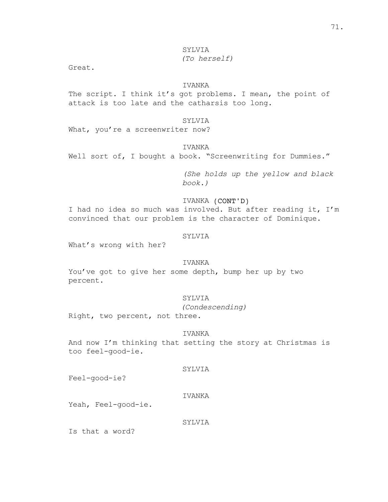# *(To herself)*

Great.

# IVANKA

The script. I think it's got problems. I mean, the point of attack is too late and the catharsis too long.

# SYLVIA

What, you're a screenwriter now?

# IVANKA

Well sort of, I bought a book. "Screenwriting for Dummies."

*(She holds up the yellow and black book.)*

# IVANKA (CONT'D)

I had no idea so much was involved. But after reading it, I'm convinced that our problem is the character of Dominique.

### SYLVIA

What's wrong with her?

# IVANKA

You've got to give her some depth, bump her up by two percent.

# SYLVIA

*(Condescending)*

Right, two percent, not three.

### IVANKA

And now I'm thinking that setting the story at Christmas is too feel-good-ie.

# SYLVIA

Feel-good-ie?

# IVANKA

Yeah, Feel-good-ie.

### SYLVIA

Is that a word?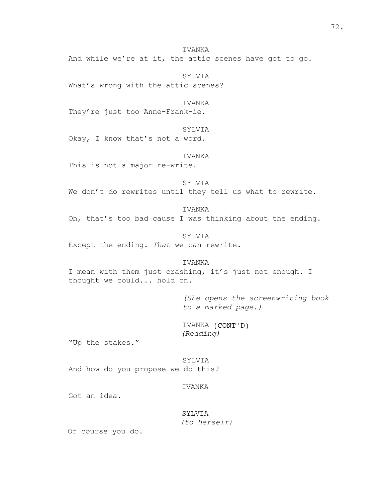IVANKA And while we're at it, the attic scenes have got to go.

SYLVIA What's wrong with the attic scenes?

IVANKA They're just too Anne-Frank-ie.

SYLVIA Okay, I know that's not a word.

IVANKA

This is not a major re-write.

SYLVIA We don't do rewrites until they tell us what to rewrite.

IVANKA Oh, that's too bad cause I was thinking about the ending.

SYLVIA Except the ending. *That* we can rewrite.

IVANKA I mean with them just crashing, it's just not enough. I thought we could... hold on.

> *(She opens the screenwriting book to a marked page.)*

IVANKA (CONT'D) *(Reading)*

"Up the stakes."

SYLVIA And how do you propose we do this?

IVANKA

Got an idea.

SYLVIA *(to herself)*

Of course you do.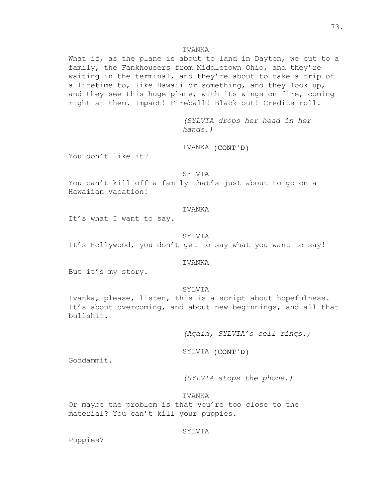What if, as the plane is about to land in Dayton, we cut to a family, the Fankhousers from Middletown Ohio, and they're waiting in the terminal, and they're about to take a trip of a lifetime to, like Hawaii or something, and they look up, and they see this huge plane, with its wings on fire, coming right at them. Impact! Fireball! Black out! Credits roll.

> *(SYLVIA drops her head in her hands.)*

IVANKA (CONT'D)

You don't like it?

# SYLVIA

You can't kill off a family that's just about to go on a Hawaiian vacation!

#### IVANKA

It's what I want to say.

#### SYLVIA

It's Hollywood, you don't get to say what you want to say!

#### IVANKA

But it's my story.

# SYLVIA

Ivanka, please, listen, this is a script about hopefulness. It's about overcoming, and about new beginnings, and all that bullshit.

*(Again, SYLVIA's cell rings.)*

SYLVIA (CONT'D)

Goddammit.

*(SYLVIA stops the phone.)*

IVANKA

Or maybe the problem is that you're too close to the material? You can't kill your puppies.

### SYLVIA

Puppies?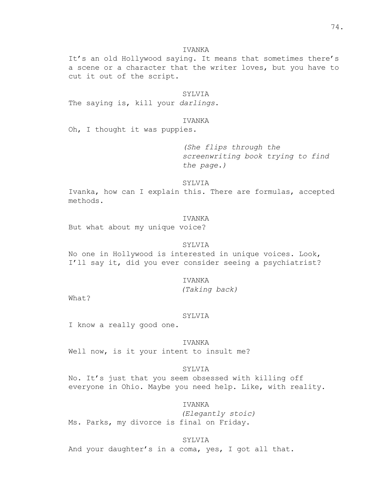It's an old Hollywood saying. It means that sometimes there's a scene or a character that the writer loves, but you have to cut it out of the script.

# SYLVIA

The saying is, kill your *darlings*.

#### IVANKA

Oh, I thought it was puppies.

*(She flips through the screenwriting book trying to find the page.)*

### SYLVIA

Ivanka, how can I explain this. There are formulas, accepted methods.

#### IVANKA

But what about my unique voice?

#### SYLVIA

No one in Hollywood is interested in unique voices. Look, I'll say it, did you ever consider seeing a psychiatrist?

#### IVANKA

*(Taking back)*

What?

#### SYLVIA

I know a really good one.

#### IVANKA

Well now, is it your intent to insult me?

#### SYLVIA

No. It's just that you seem obsessed with killing off everyone in Ohio. Maybe you need help. Like, with reality.

# IVANKA

*(Elegantly stoic)* Ms. Parks, my divorce is final on Friday.

SYLVIA And your daughter's in a coma, yes, I got all that.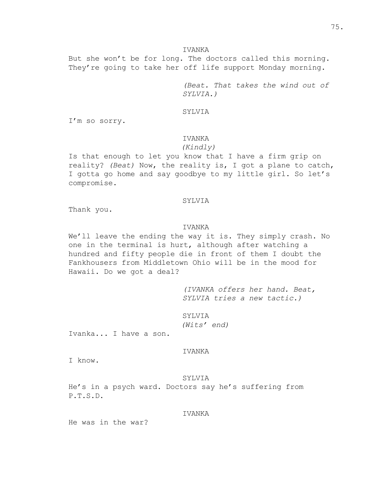But she won't be for long. The doctors called this morning. They're going to take her off life support Monday morning.

> *(Beat. That takes the wind out of SYLVIA.)*

# SYLVIA

I'm so sorry.

#### IVANKA

# *(Kindly)*

Is that enough to let you know that I have a firm grip on reality? *(Beat)* Now, the reality is, I got a plane to catch, I gotta go home and say goodbye to my little girl. So let's compromise.

#### SYLVIA

Thank you.

# IVANKA

We'll leave the ending the way it is. They simply crash. No one in the terminal is hurt, although after watching a hundred and fifty people die in front of them I doubt the Fankhousers from Middletown Ohio will be in the mood for Hawaii. Do we got a deal?

> *(IVANKA offers her hand. Beat, SYLVIA tries a new tactic.)*

SYLVIA *(Wits' end)*

Ivanka... I have a son.

# IVANKA

I know.

#### SYLVIA

He's in a psych ward. Doctors say he's suffering from P.T.S.D.

#### IVANKA

He was in the war?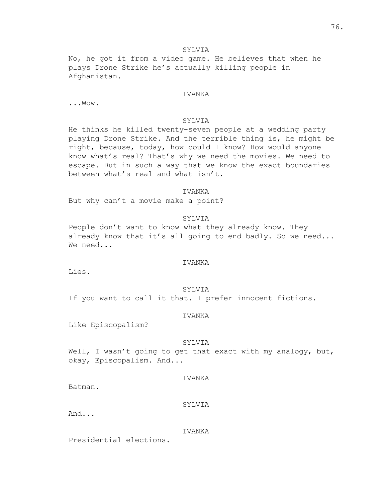No, he got it from a video game. He believes that when he plays Drone Strike he's actually killing people in Afghanistan.

# IVANKA

...Wow.

#### SYLVIA

He thinks he killed twenty-seven people at a wedding party playing Drone Strike. And the terrible thing is, he might be right, because, today, how could I know? How would anyone know what's real? That's why we need the movies. We need to escape. But in such a way that we know the exact boundaries between what's real and what isn't.

# IVANKA

But why can't a movie make a point?

# SYLVIA

People don't want to know what they already know. They already know that it's all going to end badly. So we need... We need...

#### IVANKA

Lies.

#### SYLVIA

If you want to call it that. I prefer innocent fictions.

#### IVANKA

Like Episcopalism?

#### SYLVIA

Well, I wasn't going to get that exact with my analogy, but, okay, Episcopalism. And...

#### IVANKA

Batman.

#### SYLVIA

And...

#### IVANKA

Presidential elections.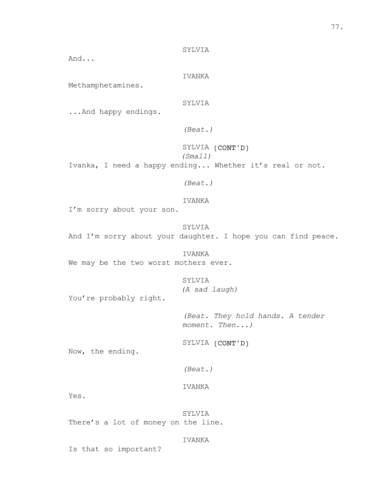And...

IVANKA

Methamphetamines.

SYLVIA

...And happy endings.

*(Beat.)*

SYLVIA (CONT'D) *(Small)* Ivanka, I need a happy ending... Whether it's real or not.

*(Beat.)*

IVANKA

I'm sorry about your son.

SYLVIA And I'm sorry about your daughter. I hope you can find peace.

IVANKA We may be the two worst mothers ever.

> SYLVIA *(A sad laugh)*

You're probably right.

*(Beat. They hold hands. A tender moment. Then...)*

SYLVIA (CONT'D)

Now, the ending.

*(Beat.)*

IVANKA

Yes.

SYLVIA There's a lot of money on the line.

IVANKA

Is that so important?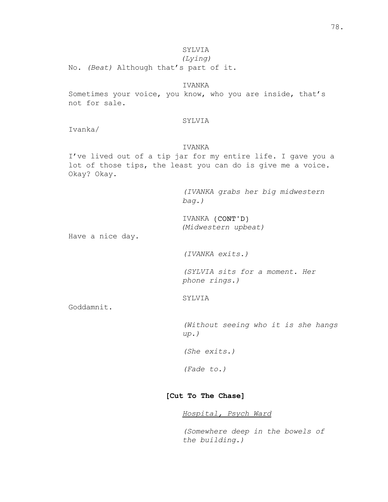*(Lying)*

No. *(Beat)* Although that's part of it.

# IVANKA

Sometimes your voice, you know, who you are inside, that's not for sale.

# SYLVIA

Ivanka/

# IVANKA

I've lived out of a tip jar for my entire life. I gave you a lot of those tips, the least you can do is give me a voice. Okay? Okay.

> *(IVANKA grabs her big midwestern bag.)*

IVANKA (CONT'D) *(Midwestern upbeat)*

Have a nice day.

*(IVANKA exits.)*

*(SYLVIA sits for a moment. Her phone rings.)*

SYLVIA

Goddamnit.

*(Without seeing who it is she hangs up.)*

*(She exits.)*

*(Fade to.)*

# **[Cut To The Chase]**

# *Hospital, Psych Ward*

*(Somewhere deep in the bowels of the building.)*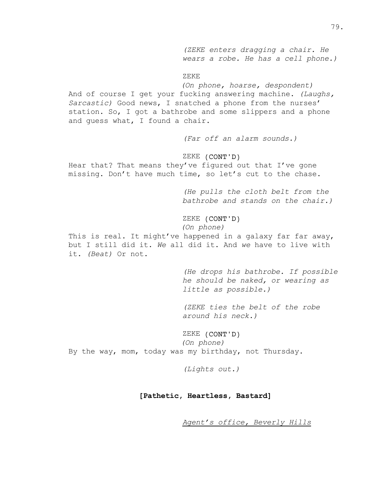*(ZEKE enters dragging a chair. He wears a robe. He has a cell phone.)*

#### ZEKE

*(On phone, hoarse, despondent)* And of course I get your fucking answering machine. *(Laughs, Sarcastic)* Good news, I snatched a phone from the nurses' station. So, I got a bathrobe and some slippers and a phone and guess what, I found a chair.

*(Far off an alarm sounds.)*

# ZEKE (CONT'D)

Hear that? That means they've figured out that I've gone missing. Don't have much time, so let's cut to the chase.

> *(He pulls the cloth belt from the bathrobe and stands on the chair.)*

ZEKE (CONT'D)

*(On phone)*

This is real. It might've happened in a galaxy far far away, but I still did it. *We* all did it. And *we* have to live with it. *(Beat)* Or not.

> *(He drops his bathrobe. If possible he should be naked, or wearing as little as possible.)*

*(ZEKE ties the belt of the robe around his neck.)*

ZEKE (CONT'D) *(On phone)* By the way, mom, today was my birthday, not Thursday.

*(Lights out.)*

# **[Pathetic, Heartless, Bastard]**

*Agent's office, Beverly Hills*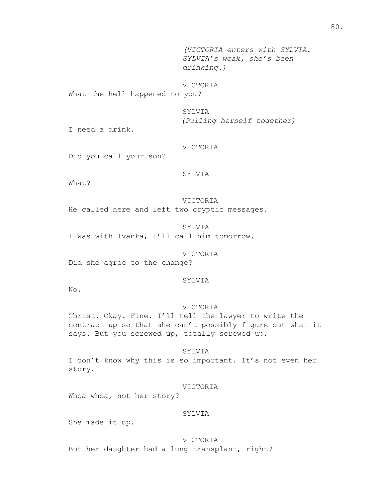*(VICTORIA enters with SYLVIA. SYLVIA's weak, she's been drinking.)*

# VICTORIA

What the hell happened to you?

# SYLVIA

*(Pulling herself together)*

I need a drink.

# VICTORIA

Did you call your son?

# SYLVIA

What?

VICTORIA He called here and left two cryptic messages.

SYLVIA I was with Ivanka, I'll call him tomorrow.

VICTORIA Did she agree to the change?

#### SYLVIA

No.

# VICTORIA

Christ. Okay. Fine. I'll tell the lawyer to write the contract up so that she can't possibly figure out what it says. But you screwed up, totally screwed up.

#### SYLVIA

I don't know why this is so important. It's not even her story.

### VICTORIA

Whoa whoa, not her story?

#### SYLVIA

She made it up.

VICTORIA But her daughter had a lung transplant, right?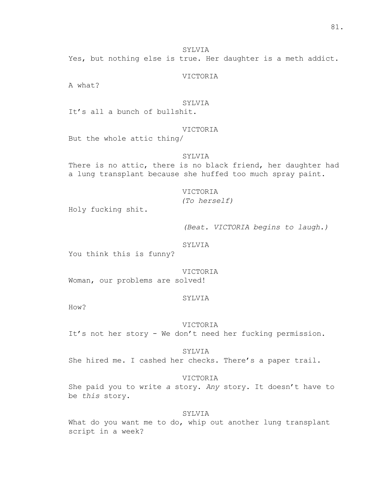Yes, but nothing else is true. Her daughter is a meth addict.

VICTORIA

A what?

# SYLVIA

It's all a bunch of bullshit.

# VICTORIA

But the whole attic thing/

# SYLVIA

There is no attic, there is no black friend, her daughter had a lung transplant because she huffed too much spray paint.

# VICTORIA

*(To herself)*

Holy fucking shit.

*(Beat. VICTORIA begins to laugh.)*

#### SYLVIA

You think this is funny?

#### VICTORIA

Woman, our problems are solved!

#### SYLVIA

How?

#### VICTORIA

It's not her story - We don't need her fucking permission.

#### SYLVIA

She hired me. I cashed her checks. There's a paper trail.

# VICTORIA

She paid you to write *a* story. *Any* story. It doesn't have to be *this* story.

#### SYLVIA

What do you want me to do, whip out another lung transplant script in a week?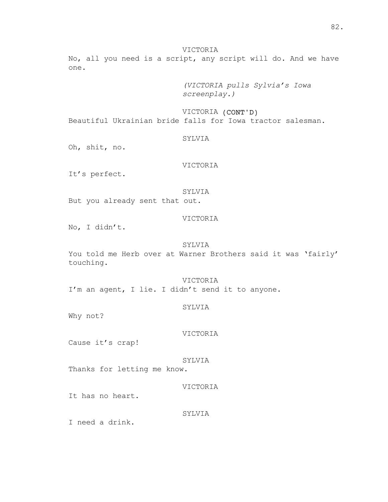### VICTORIA

No, all you need is a script, any script will do. And we have one.

> *(VICTORIA pulls Sylvia's Iowa screenplay.)*

VICTORIA (CONT'D) Beautiful Ukrainian bride falls for Iowa tractor salesman.

#### SYLVIA

Oh, shit, no.

# VICTORIA

It's perfect.

#### SYLVIA

But you already sent that out.

# VICTORIA

No, I didn't.

#### SYLVIA

You told me Herb over at Warner Brothers said it was 'fairly' touching.

VICTORIA I'm an agent, I lie. I didn't send it to anyone.

#### SYLVIA

Why not?

#### VICTORIA

Cause it's crap!

#### SYLVIA

Thanks for letting me know.

# VICTORIA

It has no heart.

# SYLVIA

I need a drink.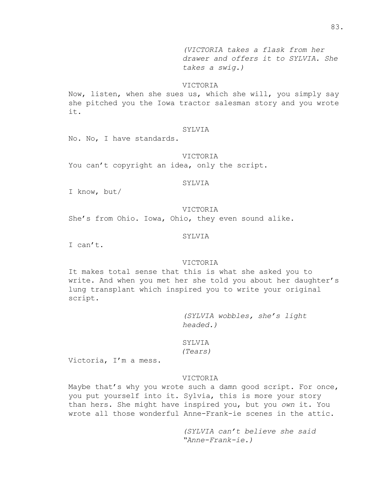*(VICTORIA takes a flask from her drawer and offers it to SYLVIA. She takes a swig.)*

#### VICTORIA

Now, listen, when she sues us, which she will, you simply say she pitched you the Iowa tractor salesman story and you wrote it.

# SYLVIA

No. No, I have standards.

#### VICTORIA

You can't copyright an idea, only the script.

# **SYLVIA**

I know, but/

#### VICTORIA

She's from Ohio. Iowa, Ohio, they even sound alike.

#### SYLVIA

I can't.

#### VICTORIA

It makes total sense that this is what she asked you to write. And when you met her she told you about her daughter's lung transplant which inspired you to write your original script.

> *(SYLVIA wobbles, she's light headed.)*

SYLVIA *(Tears)*

Victoria, I'm a mess.

# VICTORIA

Maybe that's why you wrote such a damn good script. For once, you put yourself into it. Sylvia, this is more your story than hers. She might have inspired you, but you *own* it. You wrote all those wonderful Anne-Frank-ie scenes in the attic.

> *(SYLVIA can't believe she said "Anne-Frank-ie.)*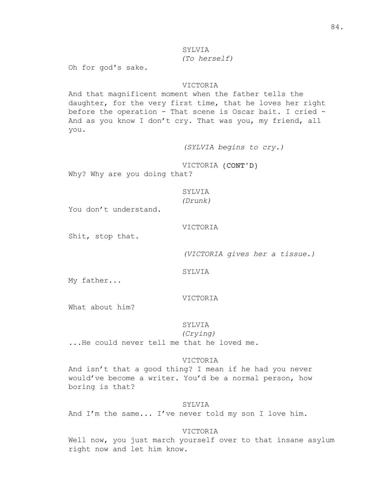# *(To herself)*

Oh for god's sake.

# VICTORIA

And that magnificent moment when the father tells the daughter, for the very first time, that he loves her right before the operation - That scene is Oscar bait. I cried - And as you know I don't cry. That was you, my friend, all you.

*(SYLVIA begins to cry.)*

VICTORIA (CONT'D)

Why? Why are you doing that?

# SYLVIA

*(Drunk)*

You don't understand.

#### VICTORIA

Shit, stop that.

*(VICTORIA gives her a tissue.)*

SYLVIA

My father...

# VICTORIA

What about him?

# SYLVIA

*(Crying)*

...He could never tell me that he loved me.

#### VICTORIA

And isn't that a good thing? I mean if he had you never would've become a writer. You'd be a normal person, how boring is that?

### SYLVIA

And I'm the same... I've never told my son I love him.

# VICTORIA

Well now, you just march yourself over to that insane asylum right now and let him know.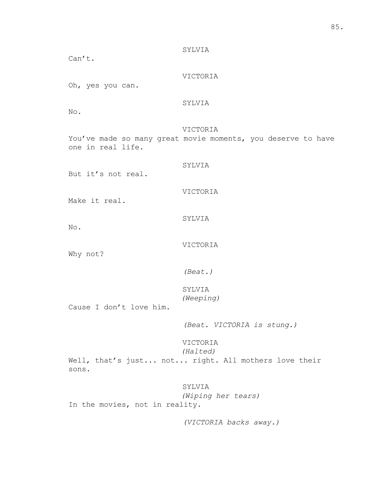SYLVIA Can't. VICTORIA Oh, yes you can. SYLVIA No. VICTORIA You've made so many great movie moments, you deserve to have one in real life. SYLVIA But it's not real. VICTORIA Make it real. SYLVIA No. VICTORIA Why not? *(Beat.)* SYLVIA *(Weeping)* Cause I don't love him. *(Beat. VICTORIA is stung.)* VICTORIA *(Halted)* Well, that's just... not... right. All mothers love their sons. SYLVIA *(Wiping her tears)* In the movies, not in reality.

*(VICTORIA backs away.)*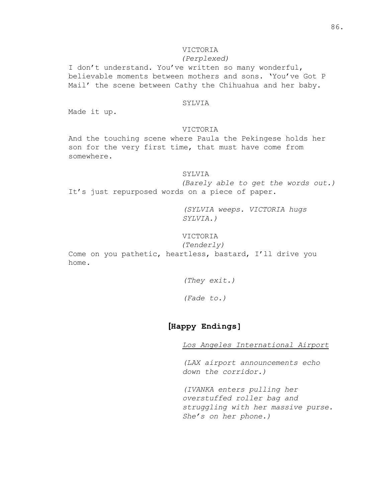# VICTORIA

# *(Perplexed)*

I don't understand. You've written so many wonderful, believable moments between mothers and sons. 'You've Got P Mail' the scene between Cathy the Chihuahua and her baby.

# SYLVIA

Made it up.

# VICTORIA

And the touching scene where Paula the Pekingese holds her son for the very first time, that must have come from somewhere.

# SYLVIA

*(Barely able to get the words out.)* It's just repurposed words on a piece of paper.

> *(SYLVIA weeps. VICTORIA hugs SYLVIA.)*

VICTORIA

*(Tenderly)*

Come on you pathetic, heartless, bastard, I'll drive you home.

*(They exit.)*

*(Fade to.)*

# **[Happy Endings]**

*Los Angeles International Airport*

*(LAX airport announcements echo down the corridor.)*

*(IVANKA enters pulling her overstuffed roller bag and struggling with her massive purse. She's on her phone.)*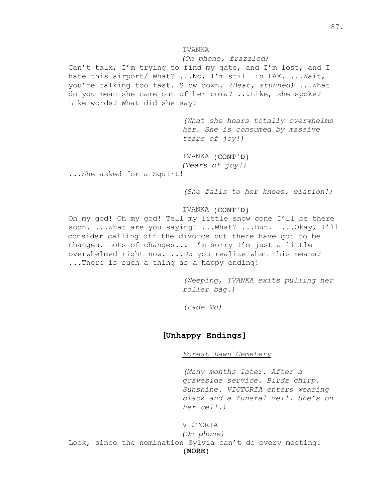*(On phone, frazzled)*

Can't talk, I'm trying to find my gate, and I'm lost, and I hate this airport/ What? ...No, I'm still in LAX. ...Wait, you're talking too fast. Slow down. *(Beat, stunned)* ...What do you mean she came out of her coma? ...Like, she spoke? Like words? What did she say?

> *(What she hears totally overwhelms her. She is consumed by massive tears of joy!)*

IVANKA (CONT'D) *(Tears of joy!)*

...She asked for a Squirt!

*(She falls to her knees, elation!)*

# IVANKA (CONT'D)

Oh my god! Oh my god! Tell my little snow cone I'll be there soon. ... What are you saying? ... What? ... But. ... Okay, I'll consider calling off the divorce but there have got to be changes. Lots of changes... I'm sorry I'm just a little overwhelmed right now. ...Do you realize what this means? ...There is such a thing as a happy ending!

> *(Weeping, IVANKA exits pulling her roller bag.)*

*(Fade To)*

# **[Unhappy Endings]**

*Forest Lawn Cemetery*

*(Many months later. After a graveside service. Birds chirp. Sunshine. VICTORIA enters wearing black and a funeral veil. She's on her cell.)*

#### VICTORIA

(MORE) *(On phone)* Look, since the nomination Sylvia can't do every meeting.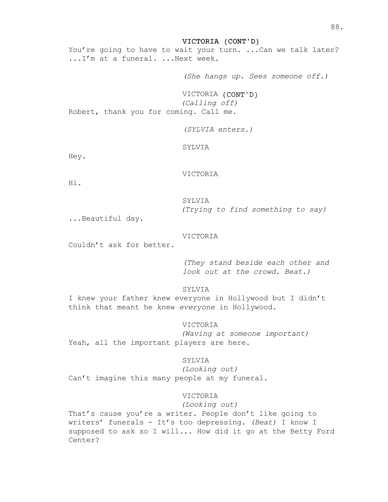VICTORIA (CONT'D)

You're going to have to wait your turn. ...Can we talk later? ...I'm at a funeral. ...Next week.

*(She hangs up. Sees someone off.)*

VICTORIA (CONT'D) *(Calling off)* Robert, thank you for coming. Call me.

*(SYLVIA enters.)*

SYLVIA

Hey.

VICTORIA

Hi.

SYLVIA *(Trying to find something to say)*

...Beautiful day.

#### VICTORIA

Couldn't ask for better.

*(They stand beside each other and look out at the crowd. Beat.)*

SYLVIA

I knew your father knew everyone in Hollywood but I didn't think that meant he knew *everyone* in Hollywood.

# VICTORIA

*(Waving at someone important)* Yeah, all the important players are here.

# SYLVIA

*(Looking out)* Can't imagine this many people at my funeral.

### VICTORIA

*(Looking out)*

That's cause you're a writer. People don't like going to writers' funerals - It's too depressing. *(Beat)* I know I supposed to ask so I will... How did it go at the Betty Ford Center?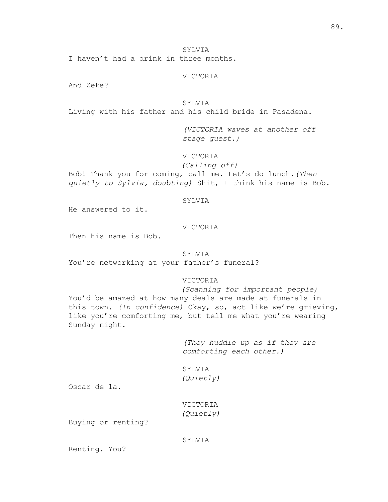I haven't had a drink in three months.

### VICTORIA

And Zeke?

SYLVIA

Living with his father and his child bride in Pasadena.

*(VICTORIA waves at another off stage guest.)*

VICTORIA

*(Calling off)*

Bob! Thank you for coming, call me. Let's do lunch.*(Then quietly to Sylvia, doubting)* Shit, I think his name is Bob.

#### SYLVIA

He answered to it.

# VICTORIA

Then his name is Bob.

### SYLVIA

You're networking at your father's funeral?

# VICTORIA

*(Scanning for important people)* You'd be amazed at how many deals are made at funerals in this town. *(In confidence)* Okay, so, act like we're grieving, like you're comforting me, but tell me what you're wearing Sunday night.

> *(They huddle up as if they are comforting each other.)*

# SYLVIA

*(Quietly)*

Oscar de la.

VICTORIA *(Quietly)*

Buying or renting?

### SYLVIA

Renting. You?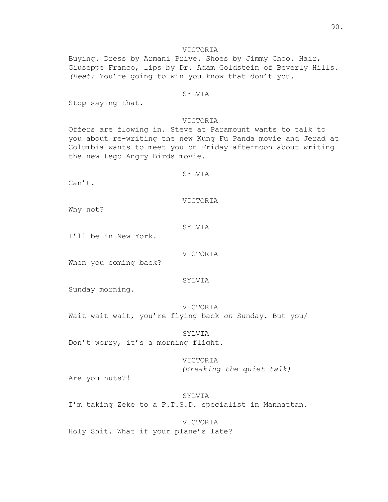# VICTORIA

Buying. Dress by Armani Prive. Shoes by Jimmy Choo. Hair, Giuseppe Franco, lips by Dr. Adam Goldstein of Beverly Hills. *(Beat)* You're going to win you know that don't you.

#### SYLVIA

Stop saying that.

#### VICTORIA

Offers are flowing in. Steve at Paramount wants to talk to you about re-writing the new Kung Fu Panda movie and Jerad at Columbia wants to meet you on Friday afternoon about writing the new Lego Angry Birds movie.

# SYLVIA

 $Can't.$ 

VICTORIA

Why not?

#### SYLVIA

I'll be in New York.

VICTORIA

When you coming back?

#### SYLVIA

Sunday morning.

VICTORIA Wait wait wait, you're flying back *on* Sunday. But you/

SYLVIA Don't worry, it's a morning flight.

> VICTORIA *(Breaking the quiet talk)*

Are you nuts?!

SYLVIA I'm taking Zeke to a P.T.S.D. specialist in Manhattan.

VICTORIA Holy Shit. What if your plane's late?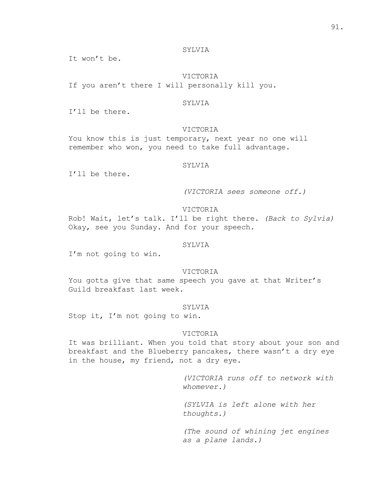It won't be.

# VICTORIA

If you aren't there I will personally kill you.

# **SYLVIA**

I'll be there.

# VICTORIA

You know this is just temporary, next year no one will remember who won, you need to take full advantage.

### SYLVIA

I'll be there.

*(VICTORIA sees someone off.)*

#### VICTORIA

Rob! Wait, let's talk. I'll be right there. *(Back to Sylvia)* Okay, see you Sunday. And for your speech.

# SYLVIA

I'm not going to win.

# VICTORIA

You gotta give that same speech you gave at that Writer's Guild breakfast last week.

# SYLVIA

Stop it, I'm not going to win.

#### VICTORIA

It was brilliant. When you told that story about your son and breakfast and the Blueberry pancakes, there wasn't a dry eye in the house, my friend, not a dry eye.

> *(VICTORIA runs off to network with whomever.)*

*(SYLVIA is left alone with her thoughts.)*

*(The sound of whining jet engines as a plane lands.)*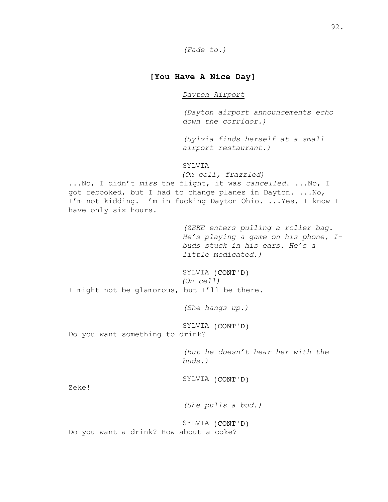# **[You Have A Nice Day]**

# *Dayton Airport*

*(Dayton airport announcements echo down the corridor.)*

*(Sylvia finds herself at a small airport restaurant.)*

# SYLVIA

*(On cell, frazzled)*

...No, I didn't *miss* the flight, it was *cancelled*. ...No, I got rebooked, but I had to change planes in Dayton. ...No, I'm not kidding. I'm in fucking Dayton Ohio. ...Yes, I know I have only six hours.

> *(ZEKE enters pulling a roller bag. He's playing a game on his phone, Ibuds stuck in his ears. He's a little medicated.)*

SYLVIA (CONT'D) *(On cell)* I might not be glamorous, but I'll be there.

*(She hangs up.)*

SYLVIA (CONT'D)

Do you want something to drink?

*(But he doesn't hear her with the buds.)*

SYLVIA (CONT'D)

Zeke!

*(She pulls a bud.)*

SYLVIA (CONT'D) Do you want a drink? How about a coke?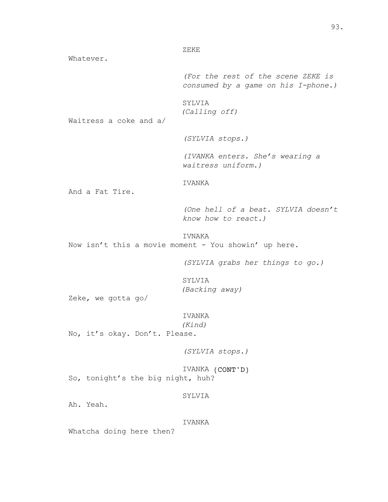ZEKE

Whatever.

*(For the rest of the scene ZEKE is consumed by a game on his I-phone.)*

SYLVIA *(Calling off)*

Waitress a coke and a/

*(SYLVIA stops.)*

*(IVANKA enters. She's wearing a waitress uniform.)*

IVANKA

And a Fat Tire.

*(One hell of a beat. SYLVIA doesn't know how to react.)*

IVNAKA

Now isn't this a movie moment - You showin' up here.

*(SYLVIA grabs her things to go.)*

SYLVIA *(Backing away)*

Zeke, we gotta go/

#### IVANKA

*(Kind)*

No, it's okay. Don't. Please.

*(SYLVIA stops.)*

IVANKA (CONT'D) So, tonight's the big night, huh?

### SYLVIA

Ah. Yeah.

#### IVANKA

Whatcha doing here then?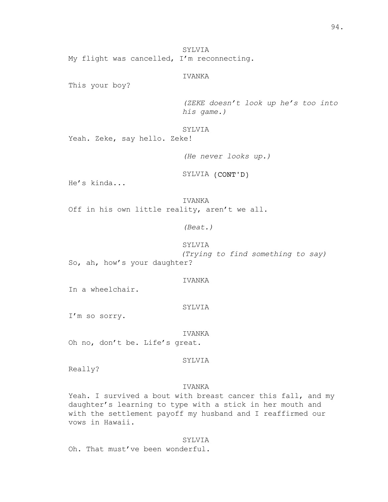SYLVIA My flight was cancelled, I'm reconnecting.

# IVANKA

This your boy?

*(ZEKE doesn't look up he's too into his game.)*

SYLVIA

Yeah. Zeke, say hello. Zeke!

*(He never looks up.)*

SYLVIA (CONT'D)

He's kinda...

IVANKA Off in his own little reality, aren't we all.

*(Beat.)*

SYLVIA

*(Trying to find something to say)* So, ah, how's your daughter?

IVANKA

In a wheelchair.

SYLVIA

I'm so sorry.

IVANKA Oh no, don't be. Life's great.

# SYLVIA

Really?

# IVANKA

Yeah. I survived a bout with breast cancer this fall, and my daughter's learning to type with a stick in her mouth and with the settlement payoff my husband and I reaffirmed our vows in Hawaii.

SYLVIA

Oh. That must've been wonderful.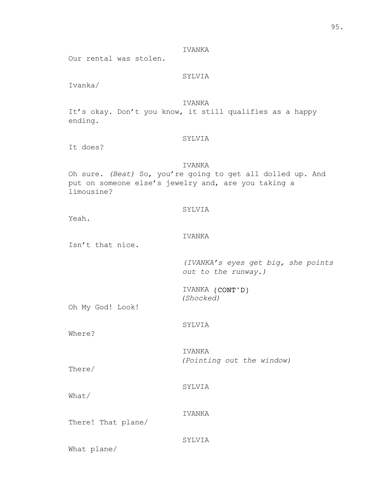Our rental was stolen.

# SYLVIA

Ivanka/

# IVANKA

It's okay. Don't you know, it still qualifies as a happy ending.

#### SYLVIA

It does?

# IVANKA

Oh sure. *(Beat)* So, you're going to get all dolled up. And put on someone else's jewelry and, are you taking a limousine?

# SYLVIA

Yeah.

#### IVANKA

Isn't that nice.

*(IVANKA's eyes get big, she points out to the runway.)*

IVANKA (CONT'D) *(Shocked)*

Oh My God! Look!

# SYLVIA

Where?

IVANKA *(Pointing out the window)*

There/

SYLVIA

What/

There! That plane/

IVANKA

SYLVIA

What plane/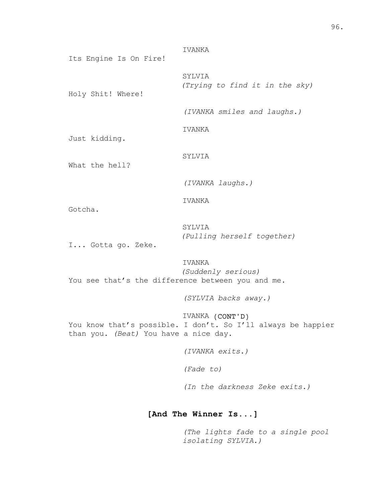IVANKA Its Engine Is On Fire! SYLVIA *(Trying to find it in the sky)* Holy Shit! Where! *(IVANKA smiles and laughs.)* IVANKA Just kidding. SYLVIA What the hell? *(IVANKA laughs.)* IVANKA Gotcha. SYLVIA *(Pulling herself together)* I... Gotta go. Zeke. IVANKA *(Suddenly serious)* You see that's the difference between you and me. *(SYLVIA backs away.)* IVANKA (CONT'D) You know that's possible. I don't. So I'll always be happier than you. *(Beat)* You have a nice day.

*(IVANKA exits.)*

*(Fade to)*

*(In the darkness Zeke exits.)*

# **[And The Winner Is...]**

*(The lights fade to a single pool isolating SYLVIA.)*